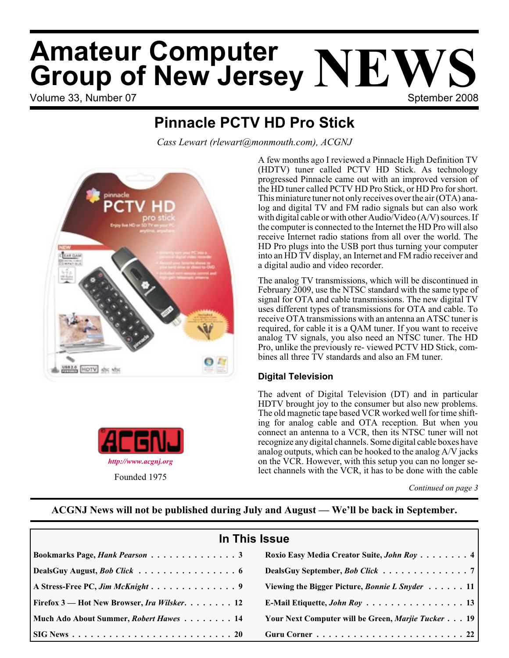# Volume 33, Number 07 Sptember 2008 **Amateur Computer Group of New Jersey NEWS**

### **Pinnacle PCTV HD Pro Stick**

*Cass Lewart (rlewart@monmouth.com), ACGNJ*





Founded 1975

A few months ago I reviewed a Pinnacle High Definition TV (HDTV) tuner called PCTV HD Stick. As technology progressed Pinnacle came out with an improved version of the HD tuner called PCTV HD Pro Stick, or HD Pro for short. This miniature tuner not only receives over the air (OTA) analog and digital TV and FM radio signals but can also work with digital cable or with other Audio/Video (A/V) sources. If the computer is connected to the Internet the HD Pro will also receive Internet radio stations from all over the world. The HD Pro plugs into the USB port thus turning your computer into an HD TV display, an Internet and FM radio receiver and a digital audio and video recorder.

The analog TV transmissions, which will be discontinued in February 2009, use the NTSC standard with the same type of signal for OTA and cable transmissions. The new digital TV uses different types of transmissions for OTA and cable. To receive OTA transmissions with an antenna an ATSC tuner is required, for cable it is a QAM tuner. If you want to receive analog TV signals, you also need an NTSC tuner. The HD Pro, unlike the previously re- viewed PCTV HD Stick, combines all three TV standards and also an FM tuner.

#### **Digital Television**

The advent of Digital Television (DT) and in particular HDTV brought joy to the consumer but also new problems. The old magnetic tape based VCR worked well for time shifting for analog cable and OTA reception. But when you connect an antenna to a VCR, then its NTSC tuner will not recognize any digital channels. Some digital cable boxes have analog outputs, which can be hooked to the analog A/V jacks on the VCR. However, with this setup you can no longer select channels with the VCR, it has to be done with the cable

#### **ACGNJ News will not be published during July and August — We'll be back in September.**

| In This Issue                                              |                                                    |  |  |  |
|------------------------------------------------------------|----------------------------------------------------|--|--|--|
| Bookmarks Page, Hank Pearson 3                             | Roxio Easy Media Creator Suite, John Roy 4         |  |  |  |
| DealsGuy August, <i>Bob Click</i> 6                        | DealsGuy September, Bob Click 7                    |  |  |  |
|                                                            | Viewing the Bigger Picture, Bonnie L Snyder 11     |  |  |  |
| <b>Firefox 3</b> — Hot New Browser, <i>Ira Wilsker.</i> 12 |                                                    |  |  |  |
| Much Ado About Summer, Robert Hawes 14                     | Your Next Computer will be Green, Marjie Tucker 19 |  |  |  |
|                                                            |                                                    |  |  |  |

*Continued on page 3*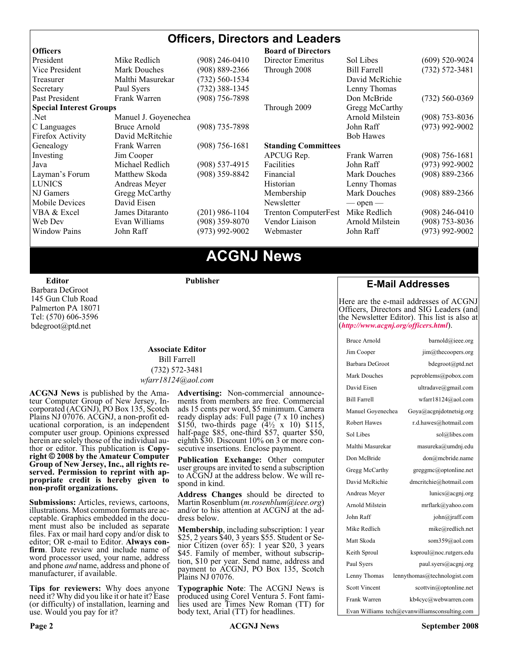#### **Officers, Directors and Leaders**

| <b>Officers</b>                |                                           |                    | <b>Board of Directors</b>   |                     |                    |
|--------------------------------|-------------------------------------------|--------------------|-----------------------------|---------------------|--------------------|
| President                      | Mike Redlich                              | (908) 246-0410     | Director Emeritus           | Sol Libes           | $(609)$ 520-9024   |
| Vice President                 | $(908) 889 - 2366$<br><b>Mark Douches</b> |                    | Through 2008                | <b>Bill Farrell</b> | $(732) 572 - 3481$ |
| Treasurer                      | Malthi Masurekar<br>(732) 560-1534        |                    |                             | David McRichie      |                    |
| Secretary                      | Paul Syers                                | $(732)$ 388-1345   |                             | Lenny Thomas        |                    |
| Past President                 | Frank Warren                              | $(908)$ 756-7898   |                             | Don McBride         | $(732) 560 - 0369$ |
| <b>Special Interest Groups</b> |                                           |                    | Through 2009                | Gregg McCarthy      |                    |
| Net.                           | Manuel J. Goyenechea                      |                    |                             | Arnold Milstein     | $(908)$ 753-8036   |
| C Languages                    | Bruce Arnold                              | $(908)$ 735-7898   |                             | John Raff           | $(973)$ 992-9002   |
| Firefox Activity               | David McRitchie                           |                    |                             | <b>Bob Hawes</b>    |                    |
| Genealogy                      | Frank Warren                              | $(908) 756 - 1681$ | <b>Standing Committees</b>  |                     |                    |
| Investing                      | Jim Cooper                                |                    | APCUG Rep.                  | Frank Warren        | $(908)$ 756-1681   |
| Java                           | Michael Redlich                           | $(908)$ 537-4915   | Facilities                  | John Raff           | $(973)$ 992-9002   |
| Layman's Forum                 | Matthew Skoda                             | (908) 359-8842     | Financial                   | <b>Mark Douches</b> | $(908) 889 - 2366$ |
| <b>LUNICS</b>                  | Andreas Meyer                             |                    | Historian                   | Lenny Thomas        |                    |
| NJ Gamers                      | Gregg McCarthy                            |                    | Membership                  | Mark Douches        | $(908) 889 - 2366$ |
| Mobile Devices                 | David Eisen                               |                    | Newsletter                  | $-$ open $-$        |                    |
| VBA & Excel                    | James Ditaranto                           | $(201)$ 986-1104   | <b>Trenton ComputerFest</b> | Mike Redlich        | $(908)$ 246-0410   |
| Web Dev                        | Evan Williams                             | $(908)$ 359-8070   | Vendor Liaison              | Arnold Milstein     | $(908)$ 753-8036   |
| <b>Window Pains</b>            | John Raff                                 | $(973)$ 992-9002   | Webmaster                   | John Raff           | $(973)$ 992-9002   |
|                                |                                           |                    |                             |                     |                    |

### **ACGNJ News**

**Editor**

Barbara DeGroot 145 Gun Club Road Palmerton PA 18071 Tel: (570) 606-3596 bdegroot@ptd.net

#### **Associate Editor** Bill Farrell (732) 572-3481 *wfarr18124@aol.com*

**Publisher**

**ACGNJ News** is published by the Ama- teur Computer Group of New Jersey, In- corporated (ACGNJ), PO Box 135, Scotch Plains NJ 07076. ACGNJ, a non-profit ed-<br>ucational corporation, is an independent computer user group. Opinions expressed<br>herein are solely those of the individual author or editor. This publication is **Copy-**<br>right © 2008 by the Amateur Computer<br>Group of New Jersey, Inc., all rights re-**Group of New Jersey, Inc., all rights re- served. Permission to reprint with ap- propriate credit is hereby given to non-profit organizations.**

**Submissions:** Articles, reviews, cartoons, illustrations. Most common formats are acceptable. Graphics embedded in the docu-<br>ment must also be included as separate files. Fax or mail hard copy and/or disk to editor: OR e-mail to Editor. **Always con**firm. Date review and include name of word processor used, your name, address and phone *and* name, address and phone of manufacturer, if available.

**Tips for reviewers:** Why does anyone need it? Why did you like it or hate it? Ease (or difficulty) of installation, learning and use. Would you pay for it?

**Advertising:** Non-commercial announce- ments from members are free. Commercial ads 15 cents per word, \$5 minimum. Camera ready display ads: Full page (7 x 10 inches) \$150, two-thirds page (4½ x 10) \$115, half-page \$85, one-third \$57, quarter \$50, eighth \$30. Discount 10% on 3 or more con- secutive insertions. Enclose payment.

**Publication Exchange:** Other computer user groups are invited to send a subscription to ACGNJ at the address below. We will re- spond in kind.

**Address Changes** should be directed to Martin Rosenblum (*m.rosenblum@ieee.org*) and/or to his attention at ACGNJ at the ad- dress below.

**Membership**, including subscription: 1 year \$25, 2 years \$40, 3 years \$55. Student or Senior Citizen (over 65): 1 year \$20, 3 years \$45. Family of member, without subscription, \$10 per year. Send name, address and payment to ACGNJ, PO Box 135, Scotch Plains NJ 07076.

**Typographic Note**: The ACGNJ News is produced using Corel Ventura 5. Font fami- lies used are Times New Roman (TT) for body text, Arial (TT) for headlines.

#### **E-Mail Addresses**

Here are the e-mail addresses of ACGNJ Officers, Directors and SIG Leaders (and the Newsletter Editor). This list is also at (*<http://www.acgnj.org/officers.html>*).

| <b>Bruce Arnold</b>  | barnold@ieee.org                              |
|----------------------|-----------------------------------------------|
| Jim Cooper           | $\lim$ ( $a$ ) the coopers.org                |
| Barbara DeGroot      | bdegroot@ptd.net                              |
| Mark Douches         | pcproblems@pobox.com                          |
| David Eisen          | ultradave@gmail.com                           |
| <b>Bill Farrell</b>  | wfarr18124@aol.com                            |
| Manuel Goyenechea    | Goya@acgnidotnetsig.org                       |
| <b>Robert Hawes</b>  | r.d.hawes@hotmail.com                         |
| Sol Libes            | sol@libes.com                                 |
| Malthi Masurekar     | masureka@umdnj.edu                            |
| Don McBride          | don@mcbride.name                              |
| Gregg McCarthy       | greggmc@optonline.net                         |
| David McRichie       | dmcritchie@hotmail.com                        |
| Andreas Meyer        | lunics@acgni.org                              |
| Arnold Milstein      | mrflark@yahoo.com                             |
| John Raff            | john@jraff.com                                |
| Mike Redlich         | mike@redlich.net                              |
| Matt Skoda           | som359@aol.com                                |
| Keith Sproul         | ksproul@noc.rutgers.edu                       |
| Paul Syers           | paul.syers@acgnj.org                          |
| Lenny Thomas         | lennythomas@technologist.com                  |
| <b>Scott Vincent</b> | scottvin@optonline.net                        |
| Frank Warren         | kb4cyc@webwarren.com                          |
|                      | Evan Williams tech@evanwilliamsconsulting.com |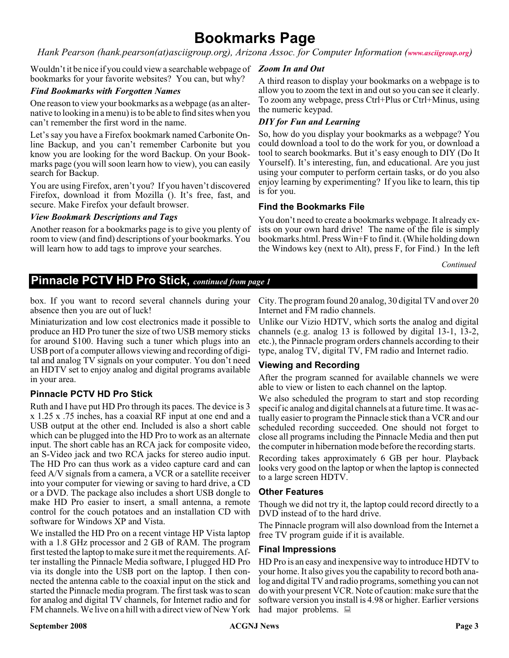### **Bookmarks Page**

*Hank Pearson (hank.pearson(at)asciigroup.org), Arizona Assoc. for Computer Information ([www.asciigroup.org](http://www.asciigroup.org))*

Wouldn't it be nice if you could view a searchable webpage of *Zoom In and Out* bookmarks for your favorite websites? You can, but why?

#### *Find Bookmarks with Forgotten Names*

One reason to view your bookmarks as a webpage (as an alternative to looking in a menu) is to be able to find sites when you can't remember the first word in the name.

Let's say you have a Firefox bookmark named Carbonite Online Backup, and you can't remember Carbonite but you know you are looking for the word Backup. On your Bookmarks page (you will soon learn how to view), you can easily search for Backup.

You are using Firefox, aren't you? If you haven't discovered Firefox, download it from Mozilla (). It's free, fast, and secure. Make Firefox your default browser.

#### *View Bookmark Descriptions and Tags*

Another reason for a bookmarks page is to give you plenty of room to view (and find) descriptions of your bookmarks. You will learn how to add tags to improve your searches.

A third reason to display your bookmarks on a webpage is to allow you to zoom the text in and out so you can see it clearly. To zoom any webpage, press Ctrl+Plus or Ctrl+Minus, using the numeric keypad.

#### *DIY for Fun and Learning*

So, how do you display your bookmarks as a webpage? You could download a tool to do the work for you, or download a tool to search bookmarks. But it's easy enough to DIY (Do It Yourself). It's interesting, fun, and educational. Are you just using your computer to perform certain tasks, or do you also enjoy learning by experimenting? If you like to learn, this tip is for you.

#### **Find the Bookmarks File**

You don't need to create a bookmarks webpage. It already exists on your own hard drive! The name of the file is simply bookmarks.html. Press Win+F to find it. (While holding down the Windows key (next to Alt), press F, for Find.) In the left

*Continued*

#### **Pinnacle PCTV HD Pro Stick,** *continued from page 1*

box. If you want to record several channels during your absence then you are out of luck!

Miniaturization and low cost electronics made it possible to produce an HD Pro tuner the size of two USB memory sticks for around \$100. Having such a tuner which plugs into an USB port of a computer allows viewing and recording of digital and analog TV signals on your computer. You don't need an HDTV set to enjoy analog and digital programs available in your area.

#### **Pinnacle PCTV HD Pro Stick**

Ruth and I have put HD Pro through its paces. The device is 3 x 1.25 x .75 inches, has a coaxial RF input at one end and a USB output at the other end. Included is also a short cable which can be plugged into the HD Pro to work as an alternate input. The short cable has an RCA jack for composite video, an S-Video jack and two RCA jacks for stereo audio input. The HD Pro can thus work as a video capture card and can feed A/V signals from a camera, a VCR or a satellite receiver into your computer for viewing or saving to hard drive, a CD or a DVD. The package also includes a short USB dongle to make HD Pro easier to insert, a small antenna, a remote control for the couch potatoes and an installation CD with software for Windows XP and Vista.

We installed the HD Pro on a recent vintage HP Vista laptop with a 1.8 GHz processor and 2 GB of RAM. The program first tested the laptop to make sure it met the requirements. After installing the Pinnacle Media software, I plugged HD Pro via its dongle into the USB port on the laptop. I then connected the antenna cable to the coaxial input on the stick and started the Pinnacle media program. The first task was to scan for analog and digital TV channels, for Internet radio and for FM channels. We live on a hill with a direct view of New York

City. The program found 20 analog, 30 digital TV and over 20 Internet and FM radio channels.

Unlike our Vizio HDTV, which sorts the analog and digital channels (e.g. analog 13 is followed by digital 13-1, 13-2, etc.), the Pinnacle program orders channels according to their type, analog TV, digital TV, FM radio and Internet radio.

#### **Viewing and Recording**

After the program scanned for available channels we were able to view or listen to each channel on the laptop.

We also scheduled the program to start and stop recording specif ic analog and digital channels at a future time. It was actually easier to program the Pinnacle stick than a VCR and our scheduled recording succeeded. One should not forget to close all programs including the Pinnacle Media and then put the computer in hibernation mode before the recording starts.

Recording takes approximately 6 GB per hour. Playback looks very good on the laptop or when the laptop is connected to a large screen HDTV.

#### **Other Features**

Though we did not try it, the laptop could record directly to a DVD instead of to the hard drive.

The Pinnacle program will also download from the Internet a free TV program guide if it is available.

#### **Final Impressions**

HD Pro is an easy and inexpensive way to introduce HDTV to your home. It also gives you the capability to record both analog and digital TV and radio programs, something you can not do with your present VCR. Note of caution: make sure that the software version you install is 4.98 or higher. Earlier versions had major problems.  $\Box$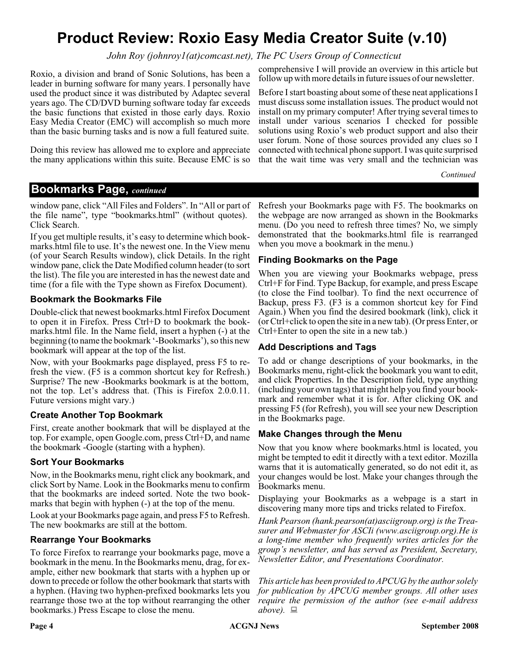### **Product Review: Roxio Easy Media Creator Suite (v.10)**

*John Roy (johnroy1(at)comcast.net), The PC Users Group of Connecticut*

Roxio, a division and brand of Sonic Solutions, has been a leader in burning software for many years. I personally have used the product since it was distributed by Adaptec several years ago. The CD/DVD burning software today far exceeds the basic functions that existed in those early days. Roxio Easy Media Creator (EMC) will accomplish so much more than the basic burning tasks and is now a full featured suite.

Doing this review has allowed me to explore and appreciate the many applications within this suite. Because EMC is so

comprehensive I will provide an overview in this article but follow up with more details in future issues of our newsletter.

Before I start boasting about some of these neat applications I must discuss some installation issues. The product would not install on my primary computer! After trying several times to install under various scenarios I checked for possible solutions using Roxio's web product support and also their user forum. None of those sources provided any clues so I connected with technical phone support. I was quite surprised that the wait time was very small and the technician was

*Continued*

#### **Bookmarks Page,** *continued*

window pane, click "All Files and Folders". In "All or part of the file name", type "bookmarks.html" (without quotes). Click Search.

If you get multiple results, it's easy to determine which bookmarks.html file to use. It's the newest one. In the View menu (of your Search Results window), click Details. In the right window pane, click the Date Modified column header (to sort the list). The file you are interested in has the newest date and time (for a file with the Type shown as Firefox Document).

#### **Bookmark the Bookmarks File**

Double-click that newest bookmarks.html Firefox Document to open it in Firefox. Press Ctrl+D to bookmark the bookmarks.html file. In the Name field, insert a hyphen (-) at the beginning (to name the bookmark '-Bookmarks'), so this new bookmark will appear at the top of the list.

Now, with your Bookmarks page displayed, press F5 to refresh the view. (F5 is a common shortcut key for Refresh.) Surprise? The new -Bookmarks bookmark is at the bottom, not the top. Let's address that. (This is Firefox 2.0.0.11. Future versions might vary.)

#### **Create Another Top Bookmark**

First, create another bookmark that will be displayed at the top. For example, open Google.com, press Ctrl+D, and name the bookmark -Google (starting with a hyphen).

#### **Sort Your Bookmarks**

Now, in the Bookmarks menu, right click any bookmark, and click Sort by Name. Look in the Bookmarks menu to confirm that the bookmarks are indeed sorted. Note the two bookmarks that begin with hyphen (-) at the top of the menu.

Look at your Bookmarks page again, and press F5 to Refresh. The new bookmarks are still at the bottom.

#### **Rearrange Your Bookmarks**

To force Firefox to rearrange your bookmarks page, move a bookmark in the menu. In the Bookmarks menu, drag, for example, either new bookmark that starts with a hyphen up or down to precede or follow the other bookmark that starts with a hyphen. (Having two hyphen-prefixed bookmarks lets you rearrange those two at the top without rearranging the other bookmarks.) Press Escape to close the menu.

Refresh your Bookmarks page with F5. The bookmarks on the webpage are now arranged as shown in the Bookmarks menu. (Do you need to refresh three times? No, we simply demonstrated that the bookmarks.html file is rearranged when you move a bookmark in the menu.)

#### **Finding Bookmarks on the Page**

When you are viewing your Bookmarks webpage, press Ctrl+F for Find. Type Backup, for example, and press Escape (to close the Find toolbar). To find the next occurrence of Backup, press F3. (F3 is a common shortcut key for Find Again.) When you find the desired bookmark (link), click it (or Ctrl+click to open the site in a new tab). (Or press Enter, or Ctrl+Enter to open the site in a new tab.)

#### **Add Descriptions and Tags**

To add or change descriptions of your bookmarks, in the Bookmarks menu, right-click the bookmark you want to edit, and click Properties. In the Description field, type anything (including your own tags) that might help you find your bookmark and remember what it is for. After clicking OK and pressing F5 (for Refresh), you will see your new Description in the Bookmarks page.

#### **Make Changes through the Menu**

Now that you know where bookmarks.html is located, you might be tempted to edit it directly with a text editor. Mozilla warns that it is automatically generated, so do not edit it, as your changes would be lost. Make your changes through the Bookmarks menu.

Displaying your Bookmarks as a webpage is a start in discovering many more tips and tricks related to Firefox.

*Hank Pearson (hank.pearson(at)asciigroup.org) is the Treasurer and Webmaster for ASCIi (www.asciigroup.org).He is a long-time member who frequently writes articles for the group's newsletter, and has served as President, Secretary, Newsletter Editor, and Presentations Coordinator.*

*This article has been provided to APCUG by the author solely for publication by APCUG member groups. All other uses require the permission of the author (see e-mail address above).*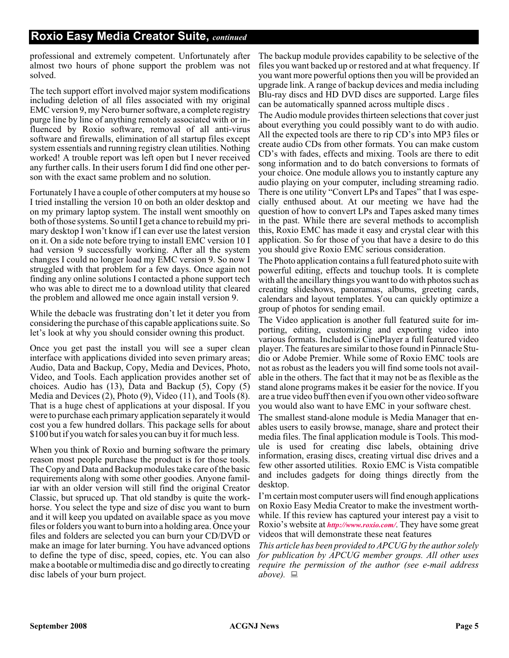professional and extremely competent. Unfortunately after almost two hours of phone support the problem was not solved.

The tech support effort involved major system modifications including deletion of all files associated with my original EMC version 9, my Nero burner software, a complete registry purge line by line of anything remotely associated with or influenced by Roxio software, removal of all anti-virus software and firewalls, elimination of all startup files except system essentials and running registry clean utilities. Nothing worked! A trouble report was left open but I never received any further calls. In their users forum I did find one other person with the exact same problem and no solution.

Fortunately I have a couple of other computers at my house so I tried installing the version 10 on both an older desktop and on my primary laptop system. The install went smoothly on both of those systems. So until I get a chance to rebuild my primary desktop I won't know if I can ever use the latest version on it. On a side note before trying to install EMC version 10 I had version 9 successfully working. After all the system changes I could no longer load my EMC version 9. So now I struggled with that problem for a few days. Once again not finding any online solutions I contacted a phone support tech who was able to direct me to a download utility that cleared the problem and allowed me once again install version 9.

While the debacle was frustrating don't let it deter you from considering the purchase of this capable applications suite. So let's look at why you should consider owning this product.

Once you get past the install you will see a super clean interface with applications divided into seven primary areas; Audio, Data and Backup, Copy, Media and Devices, Photo, Video, and Tools. Each application provides another set of choices. Audio has (13), Data and Backup (5), Copy (5) Media and Devices (2), Photo (9), Video (11), and Tools (8). That is a huge chest of applications at your disposal. If you were to purchase each primary application separately it would cost you a few hundred dollars. This package sells for about \$100 but if you watch for sales you can buy it for much less.

When you think of Roxio and burning software the primary reason most people purchase the product is for those tools. The Copy and Data and Backup modules take care of the basic requirements along with some other goodies. Anyone familiar with an older version will still find the original Creator Classic, but spruced up. That old standby is quite the workhorse. You select the type and size of disc you want to burn and it will keep you updated on available space as you move files or folders you want to burn into a holding area. Once your files and folders are selected you can burn your CD/DVD or make an image for later burning. You have advanced options to define the type of disc, speed, copies, etc. You can also make a bootable or multimedia disc and go directly to creating disc labels of your burn project.

The backup module provides capability to be selective of the files you want backed up or restored and at what frequency. If you want more powerful options then you will be provided an upgrade link. A range of backup devices and media including Blu-ray discs and HD DVD discs are supported. Large files can be automatically spanned across multiple discs .

The Audio module provides thirteen selections that cover just about everything you could possibly want to do with audio. All the expected tools are there to rip CD's into MP3 files or create audio CDs from other formats. You can make custom CD's with fades, effects and mixing. Tools are there to edit song information and to do batch conversions to formats of your choice. One module allows you to instantly capture any audio playing on your computer, including streaming radio. There is one utility "Convert LPs and Tapes" that I was especially enthused about. At our meeting we have had the question of how to convert LPs and Tapes asked many times in the past. While there are several methods to accomplish this, Roxio EMC has made it easy and crystal clear with this application. So for those of you that have a desire to do this you should give Roxio EMC serious consideration.

The Photo application contains a full featured photo suite with powerful editing, effects and touchup tools. It is complete with all the ancillary things you want to do with photos such as creating slideshows, panoramas, albums, greeting cards, calendars and layout templates. You can quickly optimize a group of photos for sending email.

The Video application is another full featured suite for importing, editing, customizing and exporting video into various formats. Included is CinePlayer a full featured video player. The features are similar to those found in Pinnacle Studio or Adobe Premier. While some of Roxio EMC tools are not as robust as the leaders you will find some tools not available in the others. The fact that it may not be as flexible as the stand alone programs makes it be easier for the novice. If you are a true video buff then even if you own other video software you would also want to have EMC in your software chest.

The smallest stand-alone module is Media Manager that enables users to easily browse, manage, share and protect their media files. The final application module is Tools. This module is used for creating disc labels, obtaining drive information, erasing discs, creating virtual disc drives and a few other assorted utilities. Roxio EMC is Vista compatible and includes gadgets for doing things directly from the desktop.

I'm certain most computer users will find enough applications on Roxio Easy Media Creator to make the investment worthwhile. If this review has captured your interest pay a visit to Roxio's website at *<http://www.roxio.com/>*. They have some great videos that will demonstrate these neat features

*This article has been provided to APCUG by the author solely for publication by APCUG member groups. All other uses require the permission of the author (see e-mail address above).*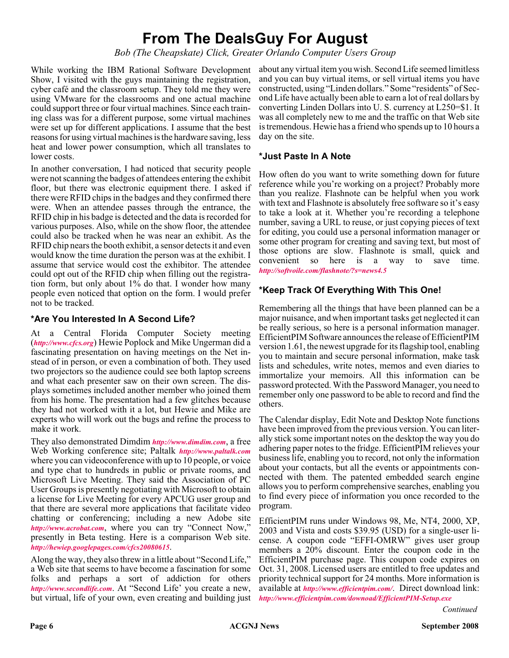### **From The DealsGuy For August**

*Bob (The Cheapskate) Click, Greater Orlando Computer Users Group*

While working the IBM Rational Software Development Show, I visited with the guys maintaining the registration, cyber café and the classroom setup. They told me they were using VMware for the classrooms and one actual machine could support three or four virtual machines. Since each training class was for a different purpose, some virtual machines were set up for different applications. I assume that the best reasons for using virtual machines is the hardware saving, less heat and lower power consumption, which all translates to lower costs.

In another conversation, I had noticed that security people were not scanning the badges of attendees entering the exhibit floor, but there was electronic equipment there. I asked if there were RFID chips in the badges and they confirmed there were. When an attendee passes through the entrance, the RFID chip in his badge is detected and the data is recorded for various purposes. Also, while on the show floor, the attendee could also be tracked when he was near an exhibit. As the RFID chip nears the booth exhibit, a sensor detects it and even would know the time duration the person was at the exhibit. I assume that service would cost the exhibitor. The attendee could opt out of the RFID chip when filling out the registration form, but only about 1% do that. I wonder how many people even noticed that option on the form. I would prefer not to be tracked.

#### **\*Are You Interested In A Second Life?**

At a Central Florida Computer Society meeting (*<http://www.cfcs.org>*) Hewie Poplock and Mike Ungerman did a fascinating presentation on having meetings on the Net instead of in person, or even a combination of both. They used two projectors so the audience could see both laptop screens and what each presenter saw on their own screen. The displays sometimes included another member who joined them from his home. The presentation had a few glitches because they had not worked with it a lot, but Hewie and Mike are experts who will work out the bugs and refine the process to make it work.

They also demonstrated Dimdim *<http://www.dimdim.com>*, a free Web Working conference site; Paltalk *<http://www.paltalk.com>* where you can videoconference with up to 10 people, or voice and type chat to hundreds in public or private rooms, and Microsoft Live Meeting. They said the Association of PC User Groups is presently negotiating with Microsoft to obtain a license for Live Meeting for every APCUG user group and that there are several more applications that facilitate video chatting or conferencing; including a new Adobe site *<http://www.acrobat.com>*, where you can try "Connect Now," presently in Beta testing. Here is a comparison Web site. *<http://hewiep.googlepages.com/cfcs20080615>*.

Along the way, they also threw in a little about "Second Life," a Web site that seems to have become a fascination for some folks and perhaps a sort of addiction for others *<http://www.secondlife.com>*. At "Second Life' you create a new, but virtual, life of your own, even creating and building just

about any virtual item you wish. Second Life seemed limitless and you can buy virtual items, or sell virtual items you have constructed, using "Linden dollars." Some "residents" of Second Life have actually been able to earn a lot of real dollars by converting Linden Dollars into U. S. currency at L250=\$1. It was all completely new to me and the traffic on that Web site is tremendous. Hewie has a friend who spends up to 10 hours a day on the site.

#### **\*Just Paste In A Note**

How often do you want to write something down for future reference while you're working on a project? Probably more than you realize. Flashnote can be helpful when you work with text and Flashnote is absolutely free software so it's easy to take a look at it. Whether you're recording a telephone number, saving a URL to reuse, or just copying pieces of text for editing, you could use a personal information manager or some other program for creating and saving text, but most of those options are slow. Flashnote is small, quick and convenient so here is a way to save time. *<http://softvoile.com/flashnote/?s=news4.5>*

#### **\*Keep Track Of Everything With This One!**

Remembering all the things that have been planned can be a major nuisance, and when important tasks get neglected it can be really serious, so here is a personal information manager. EfficientPIM Software announces the release of EfficientPIM version 1.61, the newest upgrade for its flagship tool, enabling you to maintain and secure personal information, make task lists and schedules, write notes, memos and even diaries to immortalize your memoirs. All this information can be password protected. With the Password Manager, you need to remember only one password to be able to record and find the others.

The Calendar display, Edit Note and Desktop Note functions have been improved from the previous version. You can literally stick some important notes on the desktop the way you do adhering paper notes to the fridge. EfficientPIM relieves your business life, enabling you to record, not only the information about your contacts, but all the events or appointments connected with them. The patented embedded search engine allows you to perform comprehensive searches, enabling you to find every piece of information you once recorded to the program.

EfficientPIM runs under Windows 98, Me, NT4, 2000, XP, 2003 and Vista and costs \$39.95 (USD) for a single-user license. A coupon code "EFFI-OMRW" gives user group members a 20% discount. Enter the coupon code in the EfficientPIM purchase page. This coupon code expires on Oct. 31, 2008. Licensed users are entitled to free updates and priority technical support for 24 months. More information is available at *<http://www.efficientpim.com/>*. Direct download link: *<http://www.efficientpim.com/downoad/EfficientPIM-Setup.exe>*

*Continued*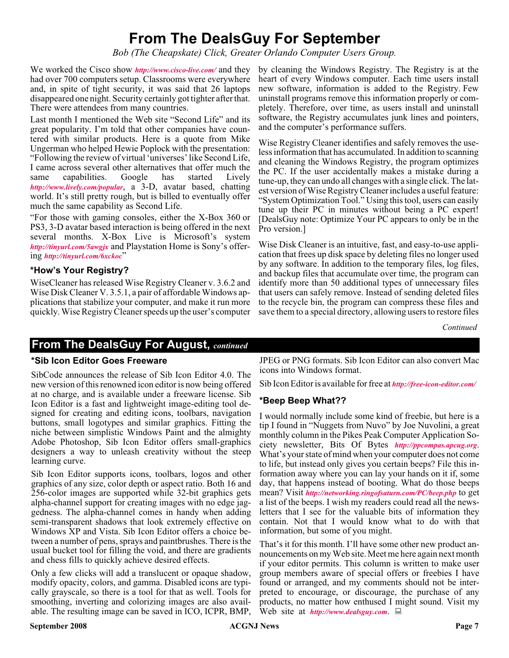### **From The DealsGuy For September**

*Bob (The Cheapskate) Click, Greater Orlando Computer Users Group.*

We worked the Cisco show *<http://www.cisco-live.com/>* and they by cleaning the Windows Registry. The Registry is at the had over 700 computers setup. Classrooms were everywhere and, in spite of tight security, it was said that 26 laptops disappeared one night. Security certainly got tighter after that. There were attendees from many countries.

Last month I mentioned the Web site "Second Life" and its great popularity. I'm told that other companies have countered with similar products. Here is a quote from Mike Ungerman who helped Hewie Poplock with the presentation: "Following the review of virtual 'universes' like Second Life, I came across several other alternatives that offer much the same capabilities. Google has started Lively *<http://www.lively.com/popular>*, a 3-D, avatar based, chatting world. It's still pretty rough, but is billed to eventually offer much the same capability as Second Life.

"For those with gaming consoles, either the X-Box 360 or PS3, 3-D avatar based interaction is being offered in the next several months. X-Box Live is Microsoft's system *<http://tinyurl.com/5awgjx>* and Playstation Home is Sony's offering *<http://tinyurl.com/6xckoc>*"

#### **\*How's Your Registry?**

WiseCleaner has released Wise Registry Cleaner v. 3.6.2 and Wise Disk Cleaner V. 3.5.1, a pair of affordable Windows applications that stabilize your computer, and make it run more quickly. Wise Registry Cleaner speeds up the user's computer

heart of every Windows computer. Each time users install new software, information is added to the Registry. Few uninstall programs remove this information properly or completely. Therefore, over time, as users install and uninstall software, the Registry accumulates junk lines and pointers, and the computer's performance suffers.

Wise Registry Cleaner identifies and safely removes the useless information that has accumulated. In addition to scanning and cleaning the Windows Registry, the program optimizes the PC. If the user accidentally makes a mistake during a tune-up, they can undo all changes with a single click. The latest version of Wise Registry Cleaner includes a useful feature: "System Optimization Tool." Using this tool, users can easily tune up their PC in minutes without being a PC expert! [DealsGuy note: Optimize Your PC appears to only be in the Pro version.]

Wise Disk Cleaner is an intuitive, fast, and easy-to-use application that frees up disk space by deleting files no longer used by any software. In addition to the temporary files, log files, and backup files that accumulate over time, the program can identify more than 50 additional types of unnecessary files that users can safely remove. Instead of sending deleted files to the recycle bin, the program can compress these files and save them to a special directory, allowing users to restore files

*Continued*

#### **From The DealsGuy For August,** *continued*

#### **\*Sib Icon Editor Goes Freeware**

SibCode announces the release of Sib Icon Editor 4.0. The new version of this renowned icon editor is now being offered at no charge, and is available under a freeware license. Sib Icon Editor is a fast and lightweight image-editing tool designed for creating and editing icons, toolbars, navigation buttons, small logotypes and similar graphics. Fitting the niche between simplistic Windows Paint and the almighty Adobe Photoshop, Sib Icon Editor offers small-graphics designers a way to unleash creativity without the steep learning curve.

Sib Icon Editor supports icons, toolbars, logos and other graphics of any size, color depth or aspect ratio. Both 16 and 256-color images are supported while 32-bit graphics gets alpha-channel support for creating images with no edge jaggedness. The alpha-channel comes in handy when adding semi-transparent shadows that look extremely effective on Windows XP and Vista. Sib Icon Editor offers a choice between a number of pens, sprays and paintbrushes. There is the usual bucket tool for filling the void, and there are gradients and chess fills to quickly achieve desired effects.

Only a few clicks will add a translucent or opaque shadow, modify opacity, colors, and gamma. Disabled icons are typically grayscale, so there is a tool for that as well. Tools for smoothing, inverting and colorizing images are also available. The resulting image can be saved in ICO, ICPR, BMP,

JPEG or PNG formats. Sib Icon Editor can also convert Mac icons into Windows format.

Sib Icon Editor is available for free at *<http://free-icon-editor.com/>*

#### **\*Beep Beep What??**

I would normally include some kind of freebie, but here is a tip I found in "Nuggets from Nuvo" by Joe Nuvolini, a great monthly column in the Pikes Peak Computer Application Society newsletter, Bits Of Bytes *<http://ppcompas.apcug.org>*. What's your state of mind when your computer does not come to life, but instead only gives you certain beeps? File this information away where you can lay your hands on it if, some day, that happens instead of booting. What do those beeps mean? Visit *<http://networking.ringofsaturn.com/PC/beep.php>* to get a list of the beeps. I wish my readers could read all the newsletters that I see for the valuable bits of information they contain. Not that I would know what to do with that information, but some of you might.

That's it for this month. I'll have some other new product announcements on my Web site. Meet me here again next month if your editor permits. This column is written to make user group members aware of special offers or freebies I have found or arranged, and my comments should not be interpreted to encourage, or discourage, the purchase of any products, no matter how enthused I might sound. Visit my Web site at *<http://www.dealsguy.com>*.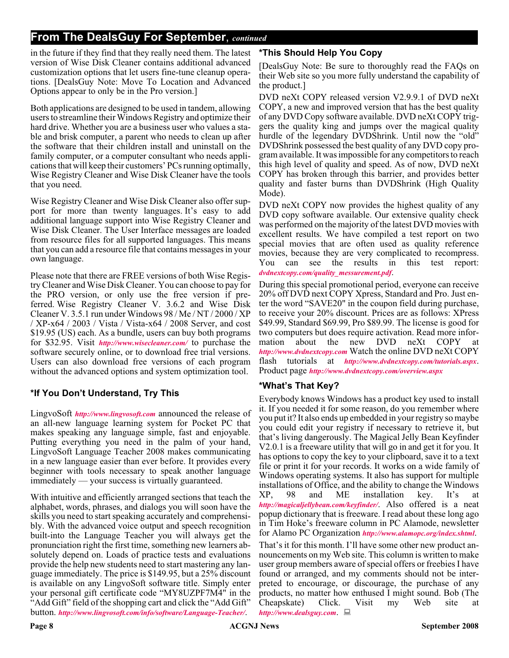#### **From The DealsGuy For September**, *continued*

in the future if they find that they really need them. The latest version of Wise Disk Cleaner contains additional advanced customization options that let users fine-tune cleanup operations. [DealsGuy Note: Move To Location and Advanced Options appear to only be in the Pro version.]

Both applications are designed to be used in tandem, allowing users to streamline their Windows Registry and optimize their hard drive. Whether you are a business user who values a stable and brisk computer, a parent who needs to clean up after the software that their children install and uninstall on the family computer, or a computer consultant who needs applications that will keep their customers' PCs running optimally, Wise Registry Cleaner and Wise Disk Cleaner have the tools that you need.

Wise Registry Cleaner and Wise Disk Cleaner also offer support for more than twenty languages. It's easy to add additional language support into Wise Registry Cleaner and Wise Disk Cleaner. The User Interface messages are loaded from resource files for all supported languages. This means that you can add a resource file that contains messages in your own language.

Please note that there are FREE versions of both Wise Registry Cleaner and Wise Disk Cleaner. You can choose to pay for the PRO version, or only use the free version if preferred. Wise Registry Cleaner V. 3.6.2 and Wise Disk Cleaner V. 3.5.1 run under Windows 98 / Me / NT / 2000 / XP / XP-x64 / 2003 / Vista / Vista-x64 / 2008 Server, and cost \$19.95 (US) each. As a bundle, users can buy both programs for \$32.95. Visit *<http://www.wisecleaner.com/>* to purchase the software securely online, or to download free trial versions. Users can also download free versions of each program without the advanced options and system optimization tool.

#### **\*If You Don't Understand, Try This**

LingvoSoft *<http://www.lingvosoft.com>* announced the release of an all-new language learning system for Pocket PC that makes speaking any language simple, fast and enjoyable. Putting everything you need in the palm of your hand, LingvoSoft Language Teacher 2008 makes communicating in a new language easier than ever before. It provides every beginner with tools necessary to speak another language immediately — your success is virtually guaranteed.

With intuitive and efficiently arranged sections that teach the alphabet, words, phrases, and dialogs you will soon have the skills you need to start speaking accurately and comprehensibly. With the advanced voice output and speech recognition built-into the Language Teacher you will always get the pronunciation right the first time, something new learners absolutely depend on. Loads of practice tests and evaluations provide the help new students need to start mastering any language immediately. The price is \$149.95, but a 25% discount is available on any LingvoSoft software title. Simply enter your personal gift certificate code "MY8UZPF7M4" in the "Add Gift" field of the shopping cart and click the "Add Gift" button. *<http://www.lingvosoft.com/info/software/Language-Teacher/>*.

#### **\*This Should Help You Copy**

[DealsGuy Note: Be sure to thoroughly read the FAQs on their Web site so you more fully understand the capability of the product.]

DVD neXt COPY released version V2.9.9.1 of DVD neXt COPY, a new and improved version that has the best quality of any DVD Copy software available. DVD neXt COPY triggers the quality king and jumps over the magical quality hurdle of the legendary DVDShrink. Until now the "old" DVDShrink possessed the best quality of any DVD copy program available. It was impossible for any competitors to reach this high level of quality and speed. As of now, DVD neXt COPY has broken through this barrier, and provides better quality and faster burns than DVDShrink (High Quality Mode).

DVD neXt COPY now provides the highest quality of any DVD copy software available. Our extensive quality check was performed on the majority of the latest DVD movies with excellent results. We have compiled a test report on two special movies that are often used as quality reference movies, because they are very complicated to recompress. You can see the results in this test report: *[dvdnextcopy.com/quality\\_messurement.pdf](http://www.dvdnextcopy.com/quality_messurement.pdf)*.

During this special promotional period, everyone can receive 20% off DVD next COPY Xpress, Standard and Pro. Just enter the word "SAVE20" in the coupon field during purchase, to receive your 20% discount. Prices are as follows: XPress \$49.99, Standard \$69.99, Pro \$89.99. The license is good for two computers but does require activation. Read more information about the new DVD neXt COPY at *<http://www.dvdnextcopy.com>* Watch the online DVD neXt COPY flash tutorials at *<http://www.dvdnextcopy.com/tutorials.aspx>*. Product page *<http://www.dvdnextcopy.com/overview.aspx>*

#### **\*What's That Key?**

Everybody knows Windows has a product key used to install it. If you needed it for some reason, do you remember where you put it? It also ends up embedded in your registry so maybe you could edit your registry if necessary to retrieve it, but that's living dangerously. The Magical Jelly Bean Keyfinder V2.0.1 is a freeware utility that will go in and get it for you. It has options to copy the key to your clipboard, save it to a text file or print it for your records. It works on a wide family of Windows operating systems. It also has support for multiple installations of Office, and the ability to change the Windows XP, 98 and ME installation key. It's at *<http://magicaljellybean.com/keyfinder/>*. Also offered is a neat popup dictionary that is freeware. I read about these long ago in Tim Hoke's freeware column in PC Alamode, newsletter for Alamo PC Organization *<http://www.alamopc.org/index.shtml>*.

That's it for this month. I'll have some other new product announcements on my Web site. This column is written to make user group members aware of special offers or freebies I have found or arranged, and my comments should not be interpreted to encourage, or discourage, the purchase of any products, no matter how enthused I might sound. Bob (The Cheapskate) Click. Visit my Web site at *<http://www.dealsguy.com>*.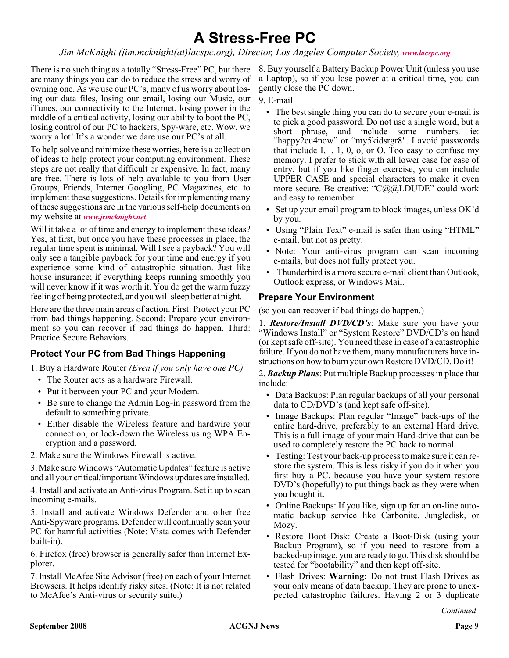### **A Stress-Free PC**

*Jim McKnight (jim.mcknight(at)lacspc.org), Director, Los Angeles Computer Society, [www.lacspc.org](http://www.lacspc.org)*

There is no such thing as a totally "Stress-Free" PC, but there are many things you can do to reduce the stress and worry of owning one. As we use our PC's, many of us worry about losing our data files, losing our email, losing our Music, our iTunes, our connectivity to the Internet, losing power in the middle of a critical activity, losing our ability to boot the PC, losing control of our PC to hackers, Spy-ware, etc. Wow, we worry a lot! It's a wonder we dare use our PC's at all.

To help solve and minimize these worries, here is a collection of ideas to help protect your computing environment. These steps are not really that difficult or expensive. In fact, many are free. There is lots of help available to you from User Groups, Friends, Internet Googling, PC Magazines, etc. to implement these suggestions. Details for implementing many of these suggestions are in the various self-help documents on my website at *[www.jrmcknight.net](http://www.jrmcknight.net)*.

Will it take a lot of time and energy to implement these ideas? Yes, at first, but once you have these processes in place, the regular time spent is minimal. Will I see a payback? You will only see a tangible payback for your time and energy if you experience some kind of catastrophic situation. Just like house insurance; if everything keeps running smoothly you will never know if it was worth it. You do get the warm fuzzy feeling of being protected, and you will sleep better at night.

Here are the three main areas of action. First: Protect your PC from bad things happening. Second: Prepare your environment so you can recover if bad things do happen. Third: Practice Secure Behaviors.

#### **Protect Your PC from Bad Things Happening**

1. Buy a Hardware Router *(Even if you only have one PC)*

- The Router acts as a hardware Firewall.
- Put it between your PC and your Modem.
- Be sure to change the Admin Log-in password from the default to something private.
- Either disable the Wireless feature and hardwire your connection, or lock-down the Wireless using WPA Encryption and a password.
- 2. Make sure the Windows Firewall is active.

3. Make sure Windows "Automatic Updates" feature is active and all your critical/important Windows updates are installed.

4. Install and activate an Anti-virus Program. Set it up to scan incoming e-mails.

5. Install and activate Windows Defender and other free Anti-Spyware programs. Defender will continually scan your PC for harmful activities (Note: Vista comes with Defender built-in).

6. Firefox (free) browser is generally safer than Internet Explorer.

7. Install McAfee Site Advisor (free) on each of your Internet Browsers. It helps identify risky sites. (Note: It is not related to McAfee's Anti-virus or security suite.)

8. Buy yourself a Battery Backup Power Unit (unless you use a Laptop), so if you lose power at a critical time, you can gently close the PC down.

9. E-mail

- The best single thing you can do to secure your e-mail is to pick a good password. Do not use a single word, but a short phrase, and include some numbers. ie: "happy2cu4now" or "my5kidsrgr8". I avoid passwords that include I, l, 1, 0, o, or O. Too easy to confuse my memory. I prefer to stick with all lower case for ease of entry, but if you like finger exercise, you can include UPPER CASE and special characters to make it even more secure. Be creative: "C@@LDUDE" could work and easy to remember.
- Set up your email program to block images, unless OK'd by you.
- Using "Plain Text" e-mail is safer than using "HTML" e-mail, but not as pretty.
- Note: Your anti-virus program can scan incoming e-mails, but does not fully protect you.
- Thunderbird is a more secure e-mail client than Outlook, Outlook express, or Windows Mail.

#### **Prepare Your Environment**

(so you can recover if bad things do happen.)

1. *Restore/Install DVD/CD's*: Make sure you have your "Windows Install" or "System Restore" DVD/CD's on hand (or kept safe off-site). You need these in case of a catastrophic failure. If you do not have them, many manufacturers have instructions on how to burn your own Restore DVD/CD. Do it!

2. *Backup Plans*: Put multiple Backup processes in place that include:

- Data Backups: Plan regular backups of all your personal data to CD/DVD's (and kept safe off-site).
- Image Backups: Plan regular "Image" back-ups of the entire hard-drive, preferably to an external Hard drive. This is a full image of your main Hard-drive that can be used to completely restore the PC back to normal.
- Testing: Test your back-up process to make sure it can restore the system. This is less risky if you do it when you first buy a PC, because you have your system restore DVD's (hopefully) to put things back as they were when you bought it.
- Online Backups: If you like, sign up for an on-line automatic backup service like Carbonite, Jungledisk, or Mozy.
- Restore Boot Disk: Create a Boot-Disk (using your Backup Program), so if you need to restore from a backed-up image, you are ready to go. This disk should be tested for "bootability" and then kept off-site.
- Flash Drives: **Warning:** Do not trust Flash Drives as your only means of data backup. They are prone to unexpected catastrophic failures. Having 2 or 3 duplicate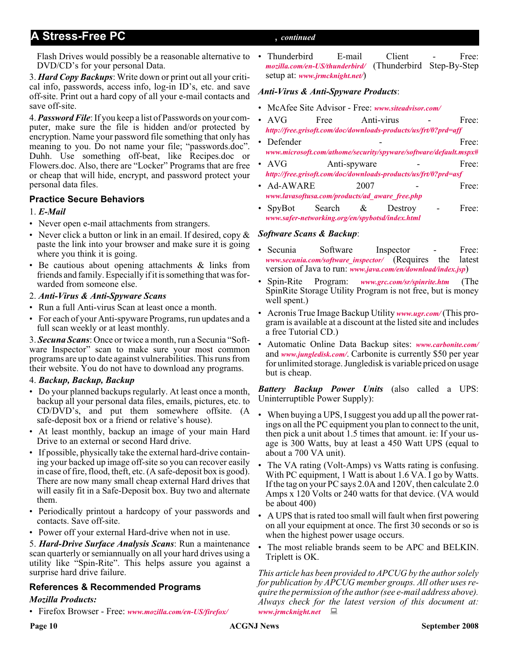#### **A Stress-Free PC** , *continued*

Flash Drives would possibly be a reasonable alternative to • Thunderbird E-mail Client - Free: DVD/CD's for your personal Data.

3. *Hard Copy Backups*: Write down or print out all your critical info, passwords, access info, log-in ID's, etc. and save off-site. Print out a hard copy of all your e-mail contacts and save off-site.

4.*Password File*: If you keep a list of Passwords on your computer, make sure the file is hidden and/or protected by encryption. Name your password file something that only has meaning to you. Do not name your file; "passwords.doc". Duhh. Use something off-beat, like Recipes.doc or Flowers.doc. Also, there are "Locker" Programs that are free or cheap that will hide, encrypt, and password protect your personal data files.

#### **Practice Secure Behaviors**

#### 1. *E-Mail*

- Never open e-mail attachments from strangers.
- Never click a button or link in an email. If desired, copy  $\&$ paste the link into your browser and make sure it is going where you think it is going.
- Be cautious about opening attachments & links from friends and family. Especially if it is something that was forwarded from someone else.

#### 2. *Anti-Virus & Anti-Spyware Scans*

- Run a full Anti-virus Scan at least once a month.
- For each of your Anti-spyware Programs, run updates and a full scan weekly or at least monthly.

3. *Secuna Scans*: Once or twice a month, run a Secunia "Software Inspector" scan to make sure your most common programs are up to date against vulnerabilities. This runs from their website. You do not have to download any programs.

#### 4. *Backup, Backup, Backup*

- Do your planned backups regularly. At least once a month, backup all your personal data files, emails, pictures, etc. to CD/DVD's, and put them somewhere offsite. (A safe-deposit box or a friend or relative's house).
- At least monthly, backup an image of your main Hard Drive to an external or second Hard drive.
- If possible, physically take the external hard-drive containing your backed up image off-site so you can recover easily in case of fire, flood, theft, etc. (A safe-deposit box is good). There are now many small cheap external Hard drives that will easily fit in a Safe-Deposit box. Buy two and alternate them.
- Periodically printout a hardcopy of your passwords and contacts. Save off-site.
- Power off your external Hard-drive when not in use.

5. *Hard-Drive Surface Analysis Scans*: Run a maintenance scan quarterly or semiannually on all your hard drives using a utility like "Spin-Rite". This helps assure you against a surprise hard drive failure.

#### **References & Recommended Programs**

#### *Mozilla Products:*

• Firefox Browser - Free: *[www.mozilla.com/en-US/firefox/](http://www.mozilla.com/en-US/firefox/)*

### *[mozilla.com/en-US/thunderbird/](http://www.mozilla.com/en-US/thunderbird/)* (Thunderbird Step-By-Step setup at: *[www.jrmcknight.net/](http://www.jrmcknight.net/)*)

#### *Anti-Virus & Anti-Spyware Products*:

- McAfee Site Advisor Free: *[www.siteadvisor.com/](http://www.siteadvisor.com/)*
- AVG Free Anti-virus Free: *<http://free.grisoft.com/doc/downloads-products/us/frt/0?prd=aff>*
- Defender Free: *[www.microsoft.com/athome/security/spyware/software/default.mspx#](http://www.microsoft.com/athome/security/spyware/software/default.mspx#)*
- AVG Anti-spyware Free: *<http://free.grisoft.com/doc/downloads-products/us/frt/0?prd=asf>*
- $Ad-AWARE$  2007 Free: *[www.lavasoftusa.com/products/ad\\_aware\\_free.php](http://www.lavasoftusa.com/products/ad_aware_free.php)*
- SpyBot Search & Destroy Free: *[www.safer-networking.org/en/spybotsd/index.html](http://www.safer-networking.org/en/spybotsd/index.html)*

#### *Software Scans & Backup*:

- Secunia Software Inspector Free: *[www.secunia.com/software\\_inspector/](http://www.secunia.com/software_inspector/)* (Requires the latest version of Java to run: *[www.java.com/en/download/index.jsp](http://www.java.com/en/download/index.jsp)*)
- Spin-Rite Program: *[www.grc.com/sr/spinrite.htm](http://www.grc.com/sr/spinrite.htm)* (The SpinRite Storage Utility Program is not free, but is money well spent.)
- Acronis True Image Backup Utility *[www.ugr.com/](http://www.ugr.com/)* (This program is available at a discount at the listed site and includes a free Tutorial CD.)
- Automatic Online Data Backup sites: *[www.carbonite.com/](http://www.carbonite.com/)* and *[www.jungledisk.com/](http://www.jungledisk.com/)*. Carbonite is currently \$50 per year for unlimited storage. Jungledisk is variable priced on usage but is cheap.

*Battery Backup Power Units* (also called a UPS: Uninterruptible Power Supply):

- When buying a UPS, I suggest you add up all the power ratings on all the PC equipment you plan to connect to the unit, then pick a unit about 1.5 times that amount. ie: If your usage is 300 Watts, buy at least a 450 Watt UPS (equal to about a 700 VA unit).
- The VA rating (Volt-Amps) vs Watts rating is confusing. With PC equipment, 1 Watt is about 1.6 VA. I go by Watts. If the tag on your PC says 2.0A and 120V, then calculate 2.0 Amps x 120 Volts or 240 watts for that device. (VA would be about 400)
- A UPS that is rated too small will fault when first powering on all your equipment at once. The first 30 seconds or so is when the highest power usage occurs.
- The most reliable brands seem to be APC and BELKIN. Triplett is OK.

*This article has been provided to APCUG by the author solely for publication by APCUG member groups. All other uses require the permission of the author (see e-mail address above). Always check for the latest version of this document at: [www.jrmcknight.net](http://www.jrmcknight.net)*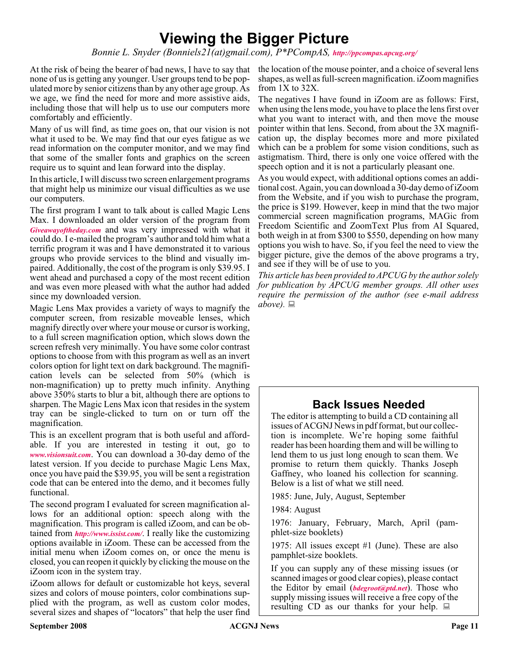### **Viewing the Bigger Picture**

*Bonnie L. Snyder (Bonniels21(at)gmail.com), P\*PCompAS, <http://ppcompas.apcug.org/>*

none of us is getting any younger. User groups tend to be populated more by senior citizens than by any other age group. As we age, we find the need for more and more assistive aids, including those that will help us to use our computers more comfortably and efficiently.

Many of us will find, as time goes on, that our vision is not what it used to be. We may find that our eyes fatigue as we read information on the computer monitor, and we may find that some of the smaller fonts and graphics on the screen require us to squint and lean forward into the display.

In this article, I will discuss two screen enlargement programs that might help us minimize our visual difficulties as we use our computers.

The first program I want to talk about is called Magic Lens Max. I downloaded an older version of the program from *[Giveawayoftheday.com](http://www.Giveawayoftheday.com)* and was very impressed with what it could do. I e-mailed the program's author and told him what a terrific program it was and I have demonstrated it to various groups who provide services to the blind and visually impaired. Additionally, the cost of the program is only \$39.95. I went ahead and purchased a copy of the most recent edition and was even more pleased with what the author had added since my downloaded version.

Magic Lens Max provides a variety of ways to magnify the computer screen, from resizable moveable lenses, which magnify directly over where your mouse or cursor is working, to a full screen magnification option, which slows down the screen refresh very minimally. You have some color contrast options to choose from with this program as well as an invert colors option for light text on dark background. The magnification levels can be selected from 50% (which is non-magnification) up to pretty much infinity. Anything above 350% starts to blur a bit, although there are options to sharpen. The Magic Lens Max icon that resides in the system tray can be single-clicked to turn on or turn off the magnification.

This is an excellent program that is both useful and affordable. If you are interested in testing it out, go to *[www.visionsuit.com](http://www.visionsuit.com)*. You can download a 30-day demo of the latest version. If you decide to purchase Magic Lens Max, once you have paid the \$39.95, you will be sent a registration code that can be entered into the demo, and it becomes fully functional.

The second program I evaluated for screen magnification allows for an additional option: speech along with the magnification. This program is called iZoom, and can be obtained from *<http://www.issist.com/>*. I really like the customizing options available in iZoom. These can be accessed from the initial menu when iZoom comes on, or once the menu is closed, you can reopen it quickly by clicking the mouse on the iZoom icon in the system tray.

iZoom allows for default or customizable hot keys, several sizes and colors of mouse pointers, color combinations supplied with the program, as well as custom color modes, several sizes and shapes of "locators" that help the user find

At the risk of being the bearer of bad news, I have to say that the location of the mouse pointer, and a choice of several lens shapes, as well as full-screen magnification. iZoom magnifies from 1X to 32X.

> The negatives I have found in iZoom are as follows: First, when using the lens mode, you have to place the lens first over what you want to interact with, and then move the mouse pointer within that lens. Second, from about the 3X magnification up, the display becomes more and more pixilated which can be a problem for some vision conditions, such as astigmatism. Third, there is only one voice offered with the speech option and it is not a particularly pleasant one.

> As you would expect, with additional options comes an additional cost. Again, you can download a 30-day demo of iZoom from the Website, and if you wish to purchase the program, the price is \$199. However, keep in mind that the two major commercial screen magnification programs, MAGic from Freedom Scientific and ZoomText Plus from AI Squared, both weigh in at from \$300 to \$550, depending on how many options you wish to have. So, if you feel the need to view the bigger picture, give the demos of the above programs a try, and see if they will be of use to you.

> *This article has been provided to APCUG by the author solely for publication by APCUG member groups. All other uses require the permission of the author (see e-mail address above).*

#### **Back Issues Needed**

The editor is attempting to build a CD containing all issues of ACGNJ News in pdf format, but our collection is incomplete. We're hoping some faithful reader has been hoarding them and will be willing to lend them to us just long enough to scan them. We promise to return them quickly. Thanks Joseph Gaffney, who loaned his collection for scanning. Below is a list of what we still need.

1985: June, July, August, September

1984: August

1976: January, February, March, April (pamphlet-size booklets)

1975: All issues except #1 (June). These are also pamphlet-size booklets.

If you can supply any of these missing issues (or scanned images or good clear copies), please contact the Editor by email (*[bdegroot@ptd.net](mailto:bdegroot@ptd.net)*). Those who supply missing issues will receive a free copy of the resulting CD as our thanks for your help.  $\Box$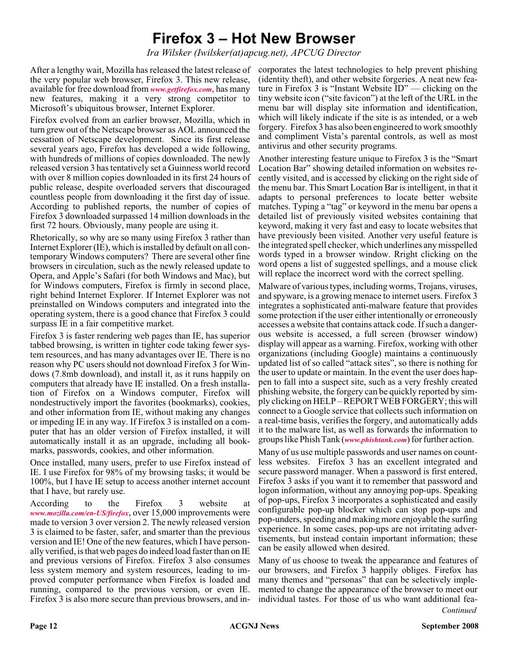### **Firefox 3 – Hot New Browser**

*Ira Wilsker (Iwilsker(at)apcug.net), APCUG Director*

After a lengthy wait, Mozilla has released the latest release of corporates the latest technologies to help prevent phishing the very popular web browser, Firefox 3. This new release, available for free download from *[www.getfirefox.com](http://www.getfirefox.com)*, has many new features, making it a very strong competitor to Microsoft's ubiquitous browser, Internet Explorer.

Firefox evolved from an earlier browser, Mozilla, which in turn grew out of the Netscape browser as AOL announced the cessation of Netscape development. Since its first release several years ago, Firefox has developed a wide following, with hundreds of millions of copies downloaded. The newly released version 3 has tentatively set a Guinness world record with over 8 million copies downloaded in its first 24 hours of public release, despite overloaded servers that discouraged countless people from downloading it the first day of issue. According to published reports, the number of copies of Firefox 3 downloaded surpassed 14 million downloads in the first 72 hours. Obviously, many people are using it.

Rhetorically, so why are so many using Firefox 3 rather than Internet Explorer (IE), which is installed by default on all contemporary Windows computers? There are several other fine browsers in circulation, such as the newly released update to Opera, and Apple's Safari (for both Windows and Mac), but for Windows computers, Firefox is firmly in second place, right behind Internet Explorer. If Internet Explorer was not preinstalled on Windows computers and integrated into the operating system, there is a good chance that Firefox 3 could surpass IE in a fair competitive market.

Firefox 3 is faster rendering web pages than IE, has superior tabbed browsing, is written in tighter code taking fewer system resources, and has many advantages over IE. There is no reason why PC users should not download Firefox 3 for Windows (7.8mb download), and install it, as it runs happily on computers that already have IE installed. On a fresh installation of Firefox on a Windows computer, Firefox will nondestructively import the favorites (bookmarks), cookies, and other information from IE, without making any changes or impeding IE in any way. If Firefox 3 is installed on a computer that has an older version of Firefox installed, it will automatically install it as an upgrade, including all bookmarks, passwords, cookies, and other information.

Once installed, many users, prefer to use Firefox instead of IE. I use Firefox for 98% of my browsing tasks; it would be 100%, but I have IE setup to access another internet account that I have, but rarely use.

According to the Firefox 3 website at *[www.mozilla.com/en-US/firefox](http://www.mozilla.com/en-US/firefox)*, over 15,000 improvements were made to version 3 over version 2. The newly released version 3 is claimed to be faster, safer, and smarter than the previous version and IE! One of the new features, which I have personally verified, is that web pages do indeed load faster than on IE and previous versions of Firefox. Firefox 3 also consumes less system memory and system resources, leading to improved computer performance when Firefox is loaded and running, compared to the previous version, or even IE. Firefox 3 is also more secure than previous browsers, and in-

(identity theft), and other website forgeries. A neat new feature in Firefox 3 is "Instant Website ID" — clicking on the tiny website icon ("site favicon") at the left of the URL in the menu bar will display site information and identification, which will likely indicate if the site is as intended, or a web forgery. Firefox 3 has also been engineered to work smoothly and compliment Vista's parental controls, as well as most antivirus and other security programs.

Another interesting feature unique to Firefox 3 is the "Smart Location Bar" showing detailed information on websites recently visited, and is accessed by clicking on the right side of the menu bar. This Smart Location Bar is intelligent, in that it adapts to personal preferences to locate better website matches. Typing a "tag" or keyword in the menu bar opens a detailed list of previously visited websites containing that keyword, making it very fast and easy to locate websites that have previously been visited. Another very useful feature is the integrated spell checker, which underlines any misspelled words typed in a browser window. Rright clicking on the word opens a list of suggested spellings, and a mouse click will replace the incorrect word with the correct spelling.

Malware of various types, including worms, Trojans, viruses, and spyware, is a growing menace to internet users. Firefox 3 integrates a sophisticated anti-malware feature that provides some protection if the user either intentionally or erroneously accesses a website that contains attack code. If such a dangerous website is accessed, a full screen (browser window) display will appear as a warning. Firefox, working with other organizations (including Google) maintains a continuously updated list of so called "attack sites", so there is nothing for the user to update or maintain. In the event the user does happen to fall into a suspect site, such as a very freshly created phishing website, the forgery can be quickly reported by simply clicking on HELP – REPORT WEB FORGERY; this will connect to a Google service that collects such information on a real-time basis, verifies the forgery, and automatically adds it to the malware list, as well as forwards the information to groups like Phish Tank (*[www.phishtank.com](http://www.phishtank.com)*) for further action.

Many of us use multiple passwords and user names on countless websites. Firefox 3 has an excellent integrated and secure password manager. When a password is first entered, Firefox 3 asks if you want it to remember that password and logon information, without any annoying pop-ups. Speaking of pop-ups, Firefox 3 incorporates a sophisticated and easily configurable pop-up blocker which can stop pop-ups and pop-unders, speeding and making more enjoyable the surfing experience. In some cases, pop-ups are not irritating advertisements, but instead contain important information; these can be easily allowed when desired.

Many of us choose to tweak the appearance and features of our browsers, and Firefox 3 happily obliges. Firefox has many themes and "personas" that can be selectively implemented to change the appearance of the browser to meet our individual tastes. For those of us who want additional fea-*Continued*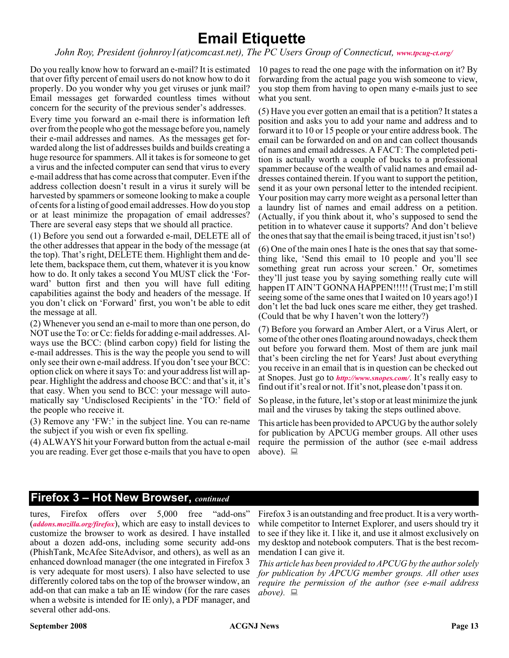### **Email Etiquette**

*John Roy, President (johnroy1(at)comcast.net), The PC Users Group of Connecticut, [www.tpcug-ct.org/](http://www.tpcug-ct.org/)*

Do you really know how to forward an e-mail? It is estimated 10 pages to read the one page with the information on it? By that over fifty percent of email users do not know how to do it properly. Do you wonder why you get viruses or junk mail? Email messages get forwarded countless times without concern for the security of the previous sender's addresses.

Every time you forward an e-mail there is information left over from the people who got the message before you, namely their e-mail addresses and names. As the messages get forwarded along the list of addresses builds and builds creating a huge resource for spammers. All it takes is for someone to get a virus and the infected computer can send that virus to every e-mail address that has come across that computer. Even if the address collection doesn't result in a virus it surely will be harvested by spammers or someone looking to make a couple of cents for a listing of good email addresses. How do you stop or at least minimize the propagation of email addresses? There are several easy steps that we should all practice.

(1) Before you send out a forwarded e-mail, DELETE all of the other addresses that appear in the body of the message (at the top). That's right, DELETE them. Highlight them and delete them, backspace them, cut them, whatever it is you know how to do. It only takes a second You MUST click the 'Forward' button first and then you will have full editing capabilities against the body and headers of the message. If you don't click on 'Forward' first, you won't be able to edit the message at all.

(2) Whenever you send an e-mail to more than one person, do NOT use the To: or Cc: fields for adding e-mail addresses. Always use the BCC: (blind carbon copy) field for listing the e-mail addresses. This is the way the people you send to will only see their own e-mail address. If you don't see your BCC: option click on where it says To: and your address list will appear. Highlight the address and choose BCC: and that's it, it's that easy. When you send to BCC: your message will automatically say 'Undisclosed Recipients' in the 'TO:' field of the people who receive it.

(3) Remove any 'FW:' in the subject line. You can re-name the subject if you wish or even fix spelling.

(4) ALWAYS hit your Forward button from the actual e-mail you are reading. Ever get those e-mails that you have to open

forwarding from the actual page you wish someone to view, you stop them from having to open many e-mails just to see what you sent.

(5) Have you ever gotten an email that is a petition? It states a position and asks you to add your name and address and to forward it to 10 or 15 people or your entire address book. The email can be forwarded on and on and can collect thousands of names and email addresses. A FACT: The completed petition is actually worth a couple of bucks to a professional spammer because of the wealth of valid names and email addresses contained therein. If you want to support the petition, send it as your own personal letter to the intended recipient. Your position may carry more weight as a personal letter than a laundry list of names and email address on a petition. (Actually, if you think about it, who's supposed to send the petition in to whatever cause it supports? And don't believe the ones that say that the email is being traced, it just isn't so!)

(6) One of the main ones I hate is the ones that say that something like, 'Send this email to 10 people and you'll see something great run across your screen.' Or, sometimes they'll just tease you by saying something really cute will happen IT AIN'T GONNA HAPPEN!!!!! (Trust me; I'm still seeing some of the same ones that I waited on 10 years ago!) I don't let the bad luck ones scare me either, they get trashed. (Could that be why I haven't won the lottery?)

(7) Before you forward an Amber Alert, or a Virus Alert, or some of the other ones floating around nowadays, check them out before you forward them. Most of them are junk mail that's been circling the net for Years! Just about everything you receive in an email that is in question can be checked out at Snopes. Just go to *<http://www.snopes.com/>*. It's really easy to find out if it's real or not. If it's not, please don't pass it on.

So please, in the future, let's stop or at least minimize the junk mail and the viruses by taking the steps outlined above.

This article has been provided to APCUG by the author solely for publication by APCUG member groups. All other uses require the permission of the author (see e-mail address above).  $\Box$ 

#### **Firefox 3 – Hot New Browser,** *continued*

tures, Firefox offers over 5,000 free "add-ons" (*[addons.mozilla.org/firefox](http://)*), which are easy to install devices to customize the browser to work as desired. I have installed about a dozen add-ons, including some security add-ons (PhishTank, McAfee SiteAdvisor, and others), as well as an enhanced download manager (the one integrated in Firefox 3 is very adequate for most users). I also have selected to use differently colored tabs on the top of the browser window, an add-on that can make a tab an IE window (for the rare cases when a website is intended for IE only), a PDF manager, and several other add-ons.

Firefox 3 is an outstanding and free product. It is a very worthwhile competitor to Internet Explorer, and users should try it to see if they like it. I like it, and use it almost exclusively on my desktop and notebook computers. That is the best recommendation I can give it.

*This article has been provided to APCUG by the author solely for publication by APCUG member groups. All other uses require the permission of the author (see e-mail address above).*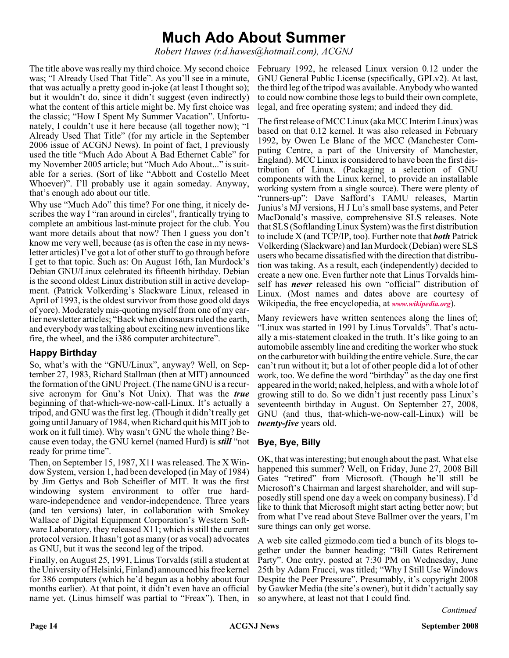### **Much Ado About Summer**

*Robert Hawes (r.d.hawes@hotmail.com), ACGNJ*

The title above was really my third choice. My second choice February 1992, he released Linux version 0.12 under the was; "I Already Used That Title". As you'll see in a minute, that was actually a pretty good in-joke (at least I thought so); but it wouldn't do, since it didn't suggest (even indirectly) what the content of this article might be. My first choice was the classic; "How I Spent My Summer Vacation". Unfortunately, I couldn't use it here because (all together now); "I Already Used That Title" (for my article in the September 2006 issue of ACGNJ News). In point of fact, I previously used the title "Much Ado About A Bad Ethernet Cable" for my November 2005 article; but "Much Ado About..." is suitable for a series. (Sort of like "Abbott and Costello Meet Whoever)". I'll probably use it again someday. Anyway, that's enough ado about our title.

Why use "Much Ado" this time? For one thing, it nicely describes the way I "ran around in circles", frantically trying to complete an ambitious last-minute project for the club. You want more details about that now? Then I guess you don't know me very well, because (as is often the case in my newsletter articles) I've got a lot of other stuff to go through before I get to that topic. Such as: On August 16th, Ian Murdock's Debian GNU/Linux celebrated its fifteenth birthday. Debian is the second oldest Linux distribution still in active development. (Patrick Volkerding's Slackware Linux, released in April of 1993, is the oldest survivor from those good old days of yore). Moderately mis-quoting myself from one of my earlier newsletter articles; "Back when dinosaurs ruled the earth, and everybody was talking about exciting new inventions like fire, the wheel, and the i386 computer architecture".

#### **Happy Birthday**

So, what's with the "GNU/Linux", anyway? Well, on September 27, 1983, Richard Stallman (then at MIT) announced the formation of the GNU Project. (The name GNU is a recursive acronym for Gnu's Not Unix). That was the *true* beginning of that-which-we-now-call-Linux. It's actually a tripod, and GNU was the first leg. (Though it didn't really get going until January of 1984, when Richard quit his MIT job to work on it full time). Why wasn't GNU the whole thing? Because even today, the GNU kernel (named Hurd) is *still* "not ready for prime time".

Then, on September 15, 1987, X11 was released. The X Window System, version 1, had been developed (in May of 1984) by Jim Gettys and Bob Scheifler of MIT. It was the first windowing system environment to offer true hardware-independence and vendor-independence. Three years (and ten versions) later, in collaboration with Smokey Wallace of Digital Equipment Corporation's Western Software Laboratory, they released X11; which is still the current protocol version. It hasn't got as many (or as vocal) advocates as GNU, but it was the second leg of the tripod.

Finally, on August 25, 1991, Linus Torvalds (still a student at the University of Helsinki, Finland) announced his free kernel for 386 computers (which he'd begun as a hobby about four months earlier). At that point, it didn't even have an official name yet. (Linus himself was partial to "Freax"). Then, in

GNU General Public License (specifically, GPLv2). At last, the third leg of the tripod was available. Anybody who wanted to could now combine those legs to build their own complete, legal, and free operating system; and indeed they did.

The first release of MCC Linux (aka MCC Interim Linux) was based on that 0.12 kernel. It was also released in February 1992, by Owen Le Blanc of the MCC (Manchester Computing Centre, a part of the University of Manchester, England). MCC Linux is considered to have been the first distribution of Linux. (Packaging a selection of GNU components with the Linux kernel, to provide an installable working system from a single source). There were plenty of "runners-up": Dave Safford's TAMU releases, Martin Junius's MJ versions, H J Lu's small base systems, and Peter MacDonald's massive, comprehensive SLS releases. Note that SLS (Softlanding Linux System) was the first distribution to include X (and TCP/IP, too). Further note that *both* Patrick Volkerding (Slackware) and Ian Murdock (Debian) were SLS users who became dissatisfied with the direction that distribution was taking. As a result, each (independently) decided to create a new one. Even further note that Linus Torvalds himself has *never* released his own "official" distribution of Linux. (Most names and dates above are courtesy of Wikipedia, the free encyclopedia, at *[www.wikipedia.org](http://www.wikipedia.org)*).

Many reviewers have written sentences along the lines of; "Linux was started in 1991 by Linus Torvalds". That's actually a mis-statement cloaked in the truth. It's like going to an automobile assembly line and crediting the worker who stuck on the carburetor with building the entire vehicle. Sure, the car can't run without it; but a lot of other people did a lot of other work, too. We define the word "birthday" as the day one first appeared in the world; naked, helpless, and with a whole lot of growing still to do. So we didn't just recently pass Linux's seventeenth birthday in August. On September 27, 2008, GNU (and thus, that-which-we-now-call-Linux) will be *twenty-five* years old.

#### **Bye, Bye, Billy**

OK, that was interesting; but enough about the past. What else happened this summer? Well, on Friday, June 27, 2008 Bill Gates "retired" from Microsoft. (Though he'll still be Microsoft's Chairman and largest shareholder, and will supposedly still spend one day a week on company business). I'd like to think that Microsoft might start acting better now; but from what I've read about Steve Ballmer over the years, I'm sure things can only get worse.

A web site called gizmodo.com tied a bunch of its blogs together under the banner heading; "Bill Gates Retirement Party". One entry, posted at 7:30 PM on Wednesday, June 25th by Adam Frucci, was titled; "Why I Still Use Windows Despite the Peer Pressure". Presumably, it's copyright 2008 by Gawker Media (the site's owner), but it didn't actually say so anywhere, at least not that I could find.

*Continued*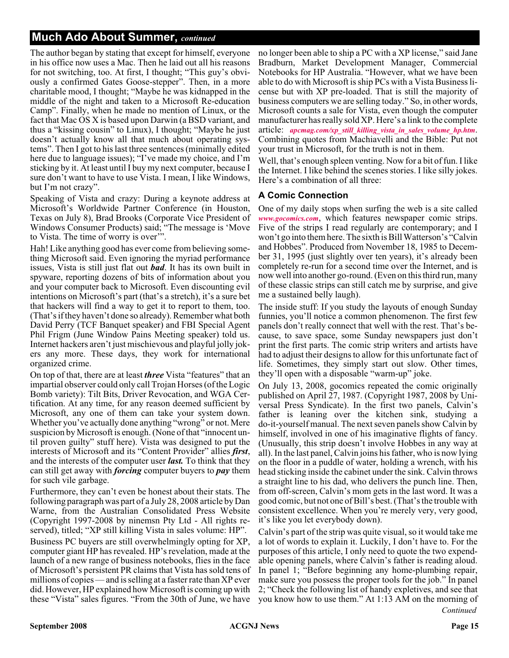#### **Much Ado About Summer,** *continued*

The author began by stating that except for himself, everyone in his office now uses a Mac. Then he laid out all his reasons for not switching, too. At first, I thought; "This guy's obviously a confirmed Gates Goose-stepper". Then, in a more charitable mood, I thought; "Maybe he was kidnapped in the middle of the night and taken to a Microsoft Re-education Camp". Finally, when he made no mention of Linux, or the fact that Mac OS X is based upon Darwin (a BSD variant, and thus a "kissing cousin" to Linux), I thought; "Maybe he just doesn't actually know all that much about operating systems". Then I got to his last three sentences (minimally edited here due to language issues); "I've made my choice, and I'm sticking by it. At least until I buy my next computer, because I sure don't want to have to use Vista. I mean, I like Windows, but I'm not crazy".

Speaking of Vista and crazy: During a keynote address at Microsoft's Worldwide Partner Conference (in Houston, Texas on July 8), Brad Brooks (Corporate Vice President of Windows Consumer Products) said; "The message is 'Move to Vista. The time of worry is over'".

Hah! Like anything good has ever come from believing something Microsoft said. Even ignoring the myriad performance issues, Vista is still just flat out *bad*. It has its own built in spyware, reporting dozens of bits of information about you and your computer back to Microsoft. Even discounting evil intentions on Microsoft's part (that's a stretch), it's a sure bet that hackers will find a way to get it to report to them, too. (That's if they haven't done so already). Remember what both David Perry (TCF Banquet speaker) and FBI Special Agent Phil Frigm (June Window Pains Meeting speaker) told us. Internet hackers aren't just mischievous and playful jolly jokers any more. These days, they work for international organized crime.

On top of that, there are at least *three* Vista "features" that an impartial observer could only call Trojan Horses (of the Logic Bomb variety): Tilt Bits, Driver Revocation, and WGA Certification. At any time, for any reason deemed sufficient by Microsoft, any one of them can take your system down. Whether you've actually done anything "wrong" or not. Mere suspicion by Microsoft is enough. (None of that "innocent until proven guilty" stuff here). Vista was designed to put the interests of Microsoft and its "Content Provider" allies *first*, and the interests of the computer user *last.* To think that they can still get away with *forcing* computer buyers to *pay* them for such vile garbage.

Furthermore, they can't even be honest about their stats. The following paragraph was part of a July 28, 2008 article by Dan Warne, from the Australian Consolidated Press Website (Copyright 1997-2008 by ninemsn Pty Ltd - All rights reserved), titled; "XP still killing Vista in sales volume: HP".

Business PC buyers are still overwhelmingly opting for XP, computer giant HP has revealed. HP's revelation, made at the launch of a new range of business notebooks, flies in the face of Microsoft's persistent PR claims that Vista has sold tens of millions of copies — and is selling at a faster rate than XP ever did. However, HP explained how Microsoft is coming up with these "Vista" sales figures. "From the 30th of June, we have

no longer been able to ship a PC with a XP license," said Jane Bradburn, Market Development Manager, Commercial Notebooks for HP Australia. "However, what we have been able to do with Microsoft is ship PCs with a Vista Business license but with XP pre-loaded. That is still the majority of business computers we are selling today." So, in other words, Microsoft counts a sale for Vista, even though the computer manufacturer has really sold XP. Here's a link to the complete article: *[apcmag.com/xp\\_still\\_killing\\_vista\\_in\\_sales\\_volume\\_hp.htm](http://apcmag.com/xp_still_killing_vista_in_sales_volume_hp.htm)*. Combining quotes from Machiavelli and the Bible: Put not your trust in Microsoft, for the truth is not in them.

Well, that's enough spleen venting. Now for a bit of fun. I like the Internet. I like behind the scenes stories. I like silly jokes. Here's a combination of all three:

#### **A Comic Connection**

One of my daily stops when surfing the web is a site called *[www.gocomics.com](http://www.gocomics.com)*, which features newspaper comic strips. Five of the strips I read regularly are contemporary; and I won't go into them here. The sixth is Bill Watterson's "Calvin and Hobbes". Produced from November 18, 1985 to December 31, 1995 (just slightly over ten years), it's already been completely re-run for a second time over the Internet, and is now well into another go-round. (Even on this third run, many of these classic strips can still catch me by surprise, and give me a sustained belly laugh).

The inside stuff: If you study the layouts of enough Sunday funnies, you'll notice a common phenomenon. The first few panels don't really connect that well with the rest. That's because, to save space, some Sunday newspapers just don't print the first parts. The comic strip writers and artists have had to adjust their designs to allow for this unfortunate fact of life. Sometimes, they simply start out slow. Other times, they'll open with a disposable "warm-up" joke.

On July 13, 2008, gocomics repeated the comic originally published on April 27, 1987. (Copyright 1987, 2008 by Universal Press Syndicate). In the first two panels, Calvin's father is leaning over the kitchen sink, studying a do-it-yourself manual. The next seven panels show Calvin by himself, involved in one of his imaginative flights of fancy. (Unusually, this strip doesn't involve Hobbes in any way at all). In the last panel, Calvin joins his father, who is now lying on the floor in a puddle of water, holding a wrench, with his head sticking inside the cabinet under the sink. Calvin throws a straight line to his dad, who delivers the punch line. Then, from off-screen, Calvin's mom gets in the last word. It was a good comic, but not one of Bill's best. (That's the trouble with consistent excellence. When you're merely very, very good, it's like you let everybody down).

Calvin's part of the strip was quite visual, so it would take me a lot of words to explain it. Luckily, I don't have to. For the purposes of this article, I only need to quote the two expendable opening panels, where Calvin's father is reading aloud. In panel 1; "Before beginning any home-plumbing repair, make sure you possess the proper tools for the job." In panel 2; "Check the following list of handy expletives, and see that you know how to use them." At 1:13 AM on the morning of *Continued*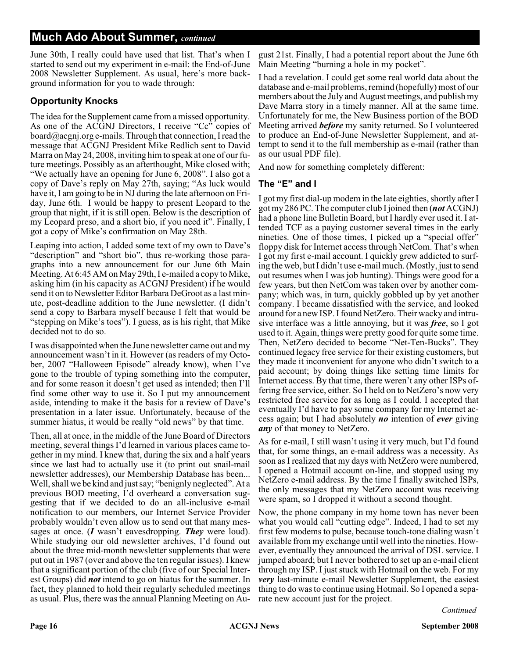#### **Much Ado About Summer,** *continued*

June 30th, I really could have used that list. That's when I started to send out my experiment in e-mail: the End-of-June 2008 Newsletter Supplement. As usual, here's more background information for you to wade through:

#### **Opportunity Knocks**

The idea for the Supplement came from a missed opportunity. As one of the ACGNJ Directors, I receive "Cc" copies of board@acgnj.org e-mails. Through that connection, I read the message that ACGNJ President Mike Redlich sent to David Marra on May 24, 2008, inviting him to speak at one of our future meetings. Possibly as an afterthought, Mike closed with; "We actually have an opening for June 6, 2008". I also got a copy of Dave's reply on May 27th, saying; "As luck would have it, I am going to be in NJ during the late afternoon on Friday, June 6th. I would be happy to present Leopard to the group that night, if it is still open. Below is the description of my Leopard preso, and a short bio, if you need it". Finally, I got a copy of Mike's confirmation on May 28th.

Leaping into action, I added some text of my own to Dave's "description" and "short bio", thus re-working those paragraphs into a new announcement for our June 6th Main Meeting. At 6:45 AM on May 29th, I e-mailed a copy to Mike, asking him (in his capacity as ACGNJ President) if he would send it on to Newsletter Editor Barbara DeGroot as a last minute, post-deadline addition to the June newsletter. (I didn't send a copy to Barbara myself because I felt that would be "stepping on Mike's toes"). I guess, as is his right, that Mike decided not to do so.

I was disappointed when the June newsletter came out and my announcement wasn't in it. However (as readers of my October, 2007 "Halloween Episode" already know), when I've gone to the trouble of typing something into the computer, and for some reason it doesn't get used as intended; then I'll find some other way to use it. So I put my announcement aside, intending to make it the basis for a review of Dave's presentation in a later issue. Unfortunately, because of the summer hiatus, it would be really "old news" by that time.

Then, all at once, in the middle of the June Board of Directors meeting, several things I'd learned in various places came together in my mind. I knew that, during the six and a half years since we last had to actually use it (to print out snail-mail newsletter addresses), our Membership Database has been... Well, shall we be kind and just say; "benignly neglected". At a previous BOD meeting, I'd overheard a conversation suggesting that if we decided to do an all-inclusive e-mail notification to our members, our Internet Service Provider probably wouldn't even allow us to send out that many messages at once. (*I* wasn't eavesdropping. *They* were loud). While studying our old newsletter archives, I'd found out about the three mid-month newsletter supplements that were put out in 1987 (over and above the ten regular issues). I knew that a significant portion of the club (five of our Special Interest Groups) did *not* intend to go on hiatus for the summer. In fact, they planned to hold their regularly scheduled meetings as usual. Plus, there was the annual Planning Meeting on Au-

gust 21st. Finally, I had a potential report about the June 6th Main Meeting "burning a hole in my pocket".

I had a revelation. I could get some real world data about the database and e-mail problems, remind (hopefully) most of our members about the July and August meetings, and publish my Dave Marra story in a timely manner. All at the same time. Unfortunately for me, the New Business portion of the BOD Meeting arrived *before* my sanity returned. So I volunteered to produce an End-of-June Newsletter Supplement, and attempt to send it to the full membership as e-mail (rather than as our usual PDF file).

And now for something completely different:

#### **The "E" and I**

I got my first dial-up modem in the late eighties, shortly after I got my 286 PC. The computer club I joined then (*not* ACGNJ) had a phone line Bulletin Board, but I hardly ever used it. I attended TCF as a paying customer several times in the early nineties. One of those times, I picked up a "special offer" floppy disk for Internet access through NetCom. That's when I got my first e-mail account. I quickly grew addicted to surfing the web, but I didn't use e-mail much. (Mostly, just to send out resumes when I was job hunting). Things were good for a few years, but then NetCom was taken over by another company; which was, in turn, quickly gobbled up by yet another company. I became dissatisfied with the service, and looked around for a new ISP. I found NetZero. Their wacky and intrusive interface was a little annoying, but it was *free*, so I got used to it. Again, things were pretty good for quite some time. Then, NetZero decided to become "Net-Ten-Bucks". They continued legacy free service for their existing customers, but they made it inconvenient for anyone who didn't switch to a paid account; by doing things like setting time limits for Internet access. By that time, there weren't any other ISPs offering free service, either. So I held on to NetZero's now very restricted free service for as long as I could. I accepted that eventually I'd have to pay some company for my Internet access again; but I had absolutely *no* intention of *ever* giving *any* of that money to NetZero.

As for e-mail, I still wasn't using it very much, but I'd found that, for some things, an e-mail address was a necessity. As soon as I realized that my days with NetZero were numbered, I opened a Hotmail account on-line, and stopped using my NetZero e-mail address. By the time I finally switched ISPs, the only messages that my NetZero account was receiving were spam, so I dropped it without a second thought.

Now, the phone company in my home town has never been what you would call "cutting edge". Indeed, I had to set my first few modems to pulse, because touch-tone dialing wasn't available from my exchange until well into the nineties. However, eventually they announced the arrival of DSL service. I jumped aboard; but I never bothered to set up an e-mail client through my ISP. I just stuck with Hotmail on the web. For my *very* last-minute e-mail Newsletter Supplement, the easiest thing to do was to continue using Hotmail. So I opened a separate new account just for the project.

*Continued*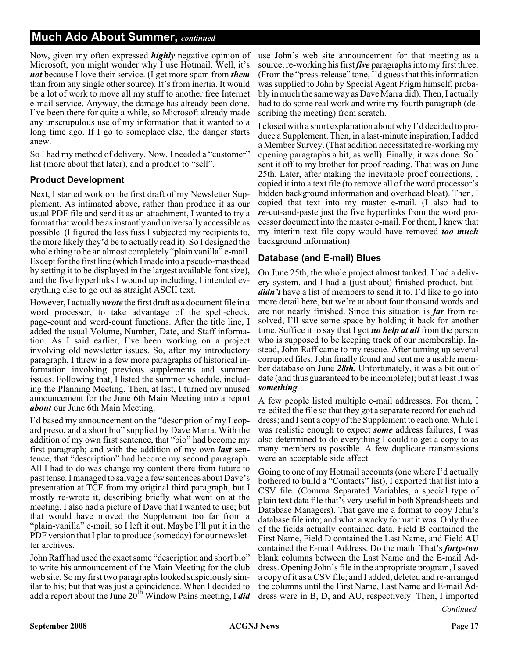#### **Much Ado About Summer,** *continued*

Now, given my often expressed *highly* negative opinion of Microsoft, you might wonder why I use Hotmail. Well, it's *not* because I love their service. (I get more spam from *them* than from any single other source). It's from inertia. It would be a lot of work to move all my stuff to another free Internet e-mail service. Anyway, the damage has already been done. I've been there for quite a while, so Microsoft already made any unscrupulous use of my information that it wanted to a long time ago. If I go to someplace else, the danger starts anew.

So I had my method of delivery. Now, I needed a "customer" list (more about that later), and a product to "sell".

#### **Product Development**

Next, I started work on the first draft of my Newsletter Supplement. As intimated above, rather than produce it as our usual PDF file and send it as an attachment, I wanted to try a format that would be as instantly and universally accessible as possible. (I figured the less fuss I subjected my recipients to, the more likely they'd be to actually read it). So I designed the whole thing to be an almost completely "plain vanilla" e-mail. Except for the first line (which I made into a pseudo-masthead by setting it to be displayed in the largest available font size), and the five hyperlinks I wound up including, I intended everything else to go out as straight ASCII text.

However, I actually*wrote* the first draft as a document file in a word processor, to take advantage of the spell-check, page-count and word-count functions. After the title line, I added the usual Volume, Number, Date, and Staff information. As I said earlier, I've been working on a project involving old newsletter issues. So, after my introductory paragraph, I threw in a few more paragraphs of historical information involving previous supplements and summer issues. Following that, I listed the summer schedule, including the Planning Meeting. Then, at last, I turned my unused announcement for the June 6th Main Meeting into a report *about* our June 6th Main Meeting.

I'd based my announcement on the "description of my Leopard preso, and a short bio" supplied by Dave Marra. With the addition of my own first sentence, that "bio" had become my first paragraph; and with the addition of my own *last* sentence, that "description" had become my second paragraph. All I had to do was change my content there from future to past tense. I managed to salvage a few sentences about Dave's presentation at TCF from my original third paragraph, but I mostly re-wrote it, describing briefly what went on at the meeting. I also had a picture of Dave that I wanted to use; but that would have moved the Supplement too far from a "plain-vanilla" e-mail, so I left it out. Maybe I'll put it in the PDF version that I plan to produce (someday) for our newsletter archives.

John Raff had used the exact same "description and short bio" to write his announcement of the Main Meeting for the club web site. So my first two paragraphs looked suspiciously similar to his; but that was just a coincidence. When I decided to add a report about the June 20<sup>th</sup> Window Pains meeting, I *did* 

use John's web site announcement for that meeting as a source, re-working his first*five* paragraphs into my first three. (From the "press-release" tone, I'd guess that this information was supplied to John by Special Agent Frigm himself, probably in much the same way as Dave Marra did). Then, I actually had to do some real work and write my fourth paragraph (describing the meeting) from scratch.

I closed with a short explanation about why I'd decided to produce a Supplement. Then, in a last-minute inspiration, I added a Member Survey. (That addition necessitated re-working my opening paragraphs a bit, as well). Finally, it was done. So I sent it off to my brother for proof reading. That was on June 25th. Later, after making the inevitable proof corrections, I copied it into a text file (to remove all of the word processor's hidden background information and overhead bloat). Then, I copied that text into my master e-mail. (I also had to *re*-cut-and-paste just the five hyperlinks from the word processor document into the master e-mail. For them, I knew that my interim text file copy would have removed *too much* background information).

#### **Database (and E-mail) Blues**

On June 25th, the whole project almost tanked. I had a delivery system, and I had a (just about) finished product, but I *didn't* have a list of members to send it to. I'd like to go into more detail here, but we're at about four thousand words and are not nearly finished. Since this situation is *far* from resolved, I'll save some space by holding it back for another time. Suffice it to say that I got *no help at all* from the person who is supposed to be keeping track of our membership. Instead, John Raff came to my rescue. After turning up several corrupted files, John finally found and sent me a usable member database on June *28th.* Unfortunately, it was a bit out of date (and thus guaranteed to be incomplete); but at least it was *something*.

A few people listed multiple e-mail addresses. For them, I re-edited the file so that they got a separate record for each address; and I sent a copy of the Supplement to each one. While I was realistic enough to expect *some* address failures, I was also determined to do everything I could to get a copy to as many members as possible. A few duplicate transmissions were an acceptable side affect.

Going to one of my Hotmail accounts (one where I'd actually bothered to build a "Contacts" list), I exported that list into a CSV file. (Comma Separated Variables, a special type of plain text data file that's very useful in both Spreadsheets and Database Managers). That gave me a format to copy John's database file into; and what a wacky format it was. Only three of the fields actually contained data. Field B contained the First Name, Field D contained the Last Name, and Field **AU** contained the E-mail Address. Do the math. That's *forty-two* blank columns between the Last Name and the E-mail Address. Opening John's file in the appropriate program, I saved a copy of it as a CSV file; and I added, deleted and re-arranged the columns until the First Name, Last Name and E-mail Address were in B, D, and AU, respectively. Then, I imported

*Continued*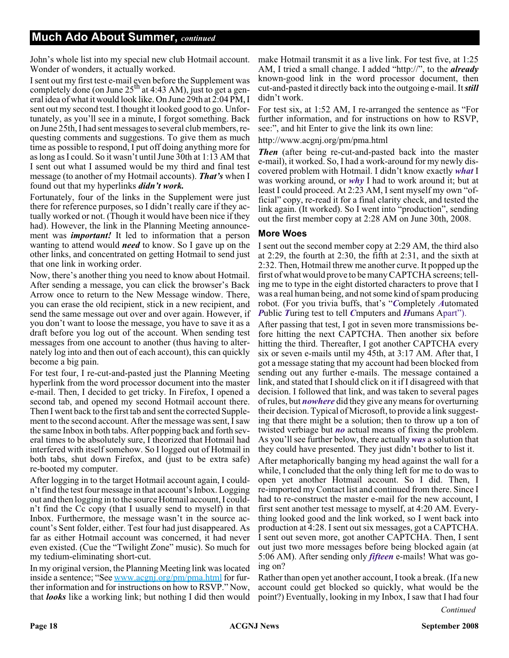John's whole list into my special new club Hotmail account. Wonder of wonders, it actually worked.

I sent out my first test e-mail even before the Supplement was completely done (on June  $25<sup>th</sup>$  at 4:43 AM), just to get a general idea of what it would look like. On June 29th at 2:04 PM, I sent out my second test. I thought it looked good to go. Unfortunately, as you'll see in a minute, I forgot something. Back on June 25th, I had sent messages to several club members, requesting comments and suggestions. To give them as much time as possible to respond, I put off doing anything more for as long as I could. So it wasn't until June 30th at 1:13 AM that I sent out what I assumed would be my third and final test message (to another of my Hotmail accounts). *That's* when I found out that my hyperlinks *didn't work.*

Fortunately, four of the links in the Supplement were just there for reference purposes, so I didn't really care if they actually worked or not. (Though it would have been nice if they had). However, the link in the Planning Meeting announcement was *important!* It led to information that a person wanting to attend would *need* to know. So I gave up on the other links, and concentrated on getting Hotmail to send just that one link in working order.

Now, there's another thing you need to know about Hotmail. After sending a message, you can click the browser's Back Arrow once to return to the New Message window. There, you can erase the old recipient, stick in a new recipient, and send the same message out over and over again. However, if you don't want to loose the message, you have to save it as a draft before you log out of the account. When sending test messages from one account to another (thus having to alternately log into and then out of each account), this can quickly become a big pain.

For test four, I re-cut-and-pasted just the Planning Meeting hyperlink from the word processor document into the master e-mail. Then, I decided to get tricky. In Firefox, I opened a second tab, and opened my second Hotmail account there. Then I went back to the first tab and sent the corrected Supplement to the second account. After the message was sent, I saw the same Inbox in both tabs. After popping back and forth several times to be absolutely sure, I theorized that Hotmail had interfered with itself somehow. So I logged out of Hotmail in both tabs, shut down Firefox, and (just to be extra safe) re-booted my computer.

After logging in to the target Hotmail account again, I couldn't find the test four message in that account's Inbox. Logging out and then logging in to the source Hotmail account, I couldn't find the Cc copy (that I usually send to myself) in that Inbox. Furthermore, the message wasn't in the source account's Sent folder, either. Test four had just disappeared. As far as either Hotmail account was concerned, it had never even existed. (Cue the "Twilight Zone" music). So much for my tedium-eliminating short-cut.

In my original version, the Planning Meeting link was located inside a sentence; "See www.acgni.org/pm/pma.html for further information and for instructions on how to RSVP." Now, that *looks* like a working link; but nothing I did then would

make Hotmail transmit it as a live link. For test five, at 1:25 AM, I tried a small change. I added "http://", to the *already* known-good link in the word processor document, then cut-and-pasted it directly back into the outgoing e-mail. It*still* didn't work.

For test six, at 1:52 AM, I re-arranged the sentence as "For further information, and for instructions on how to RSVP, see:", and hit Enter to give the link its own line:

http://www.acgnj.org/pm/pma.html

*Then* (after being re-cut-and-pasted back into the master e-mail), it worked. So, I had a work-around for my newly discovered problem with Hotmail. I didn't know exactly *what* I was working around, or *why* I had to work around it; but at least I could proceed. At 2:23 AM, I sent myself my own "official" copy, re-read it for a final clarity check, and tested the link again. (It worked). So I went into "production", sending out the first member copy at 2:28 AM on June 30th, 2008.

#### **More Woes**

I sent out the second member copy at 2:29 AM, the third also at 2:29, the fourth at 2:30, the fifth at 2:31, and the sixth at 2:32. Then, Hotmail threw me another curve. It popped up the first of what would prove to be many CAPTCHA screens; telling me to type in the eight distorted characters to prove that I was a real human being, and not some kind of spam producing robot. (For you trivia buffs, that's "*C*ompletely *A*utomated *P*ublic *T*uring test to tell *C*mputers and *H*umans Apart").

After passing that test, I got in seven more transmissions before hitting the next CAPTCHA. Then another six before hitting the third. Thereafter, I got another CAPTCHA every six or seven e-mails until my 45th, at 3:17 AM. After that, I got a message stating that my account had been blocked from sending out any further e-mails. The message contained a link, and stated that I should click on it if I disagreed with that decision. I followed that link, and was taken to several pages of rules, but *nowhere* did they give any means for overturning their decision. Typical of Microsoft, to provide a link suggesting that there might be a solution; then to throw up a ton of twisted verbiage but *no* actual means of fixing the problem. As you'll see further below, there actually *was* a solution that they could have presented. They just didn't bother to list it.

After metaphorically banging my head against the wall for a while, I concluded that the only thing left for me to do was to open yet another Hotmail account. So I did. Then, I re-imported my Contact list and continued from there. Since I had to re-construct the master e-mail for the new account, I first sent another test message to myself, at 4:20 AM. Everything looked good and the link worked, so I went back into production at 4:28. I sent out six messages, got a CAPTCHA. I sent out seven more, got another CAPTCHA. Then, I sent out just two more messages before being blocked again (at 5:06 AM). After sending only *fifteen* e-mails! What was going on?

Rather than open yet another account, I took a break. (If a new account could get blocked so quickly, what would be the point?) Eventually, looking in my Inbox, I saw that I had four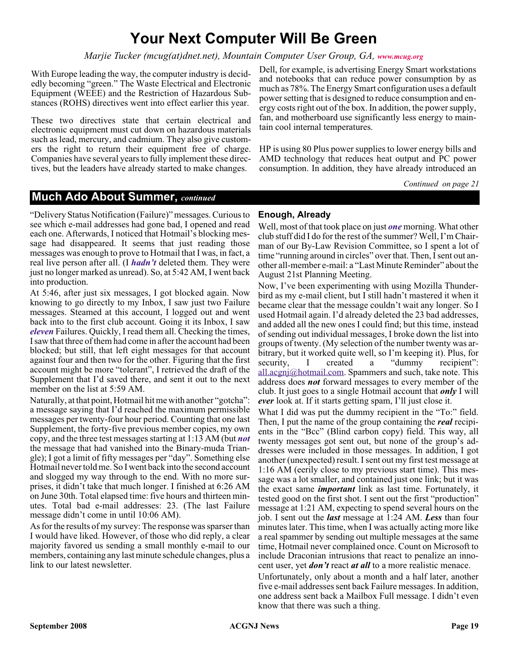### **Your Next Computer Will Be Green**

#### *Marjie Tucker (mcug(at)dnet.net), Mountain Computer User Group, GA, [www.mcug.org](http://www.mcug.org)*

With Europe leading the way, the computer industry is decidedly becoming "green." The Waste Electrical and Electronic Equipment (WEEE) and the Restriction of Hazardous Substances (ROHS) directives went into effect earlier this year.

These two directives state that certain electrical and electronic equipment must cut down on hazardous materials such as lead, mercury, and cadmium. They also give customers the right to return their equipment free of charge. Companies have several years to fully implement these directives, but the leaders have already started to make changes.

Dell, for example, is advertising Energy Smart workstations and notebooks that can reduce power consumption by as much as 78%. The Energy Smart configuration uses a default power setting that is designed to reduce consumption and energy costs right out of the box. In addition, the power supply, fan, and motherboard use significantly less energy to maintain cool internal temperatures.

HP is using 80 Plus power supplies to lower energy bills and AMD technology that reduces heat output and PC power consumption. In addition, they have already introduced an

*Continued on page 21*

#### **Much Ado About Summer,** *continued*

"Delivery Status Notification (Failure)" messages. Curious to see which e-mail addresses had gone bad, I opened and read each one. Afterwards, I noticed that Hotmail's blocking message had disappeared. It seems that just reading those messages was enough to prove to Hotmail that I was, in fact, a real live person after all. (I *hadn't* deleted them. They were just no longer marked as unread). So, at 5:42 AM, I went back into production.

At 5:46, after just six messages, I got blocked again. Now knowing to go directly to my Inbox, I saw just two Failure messages. Steamed at this account, I logged out and went back into to the first club account. Going it its Inbox, I saw *eleven* Failures. Quickly, I read them all. Checking the times, I saw that three of them had come in after the account had been blocked; but still, that left eight messages for that account against four and then two for the other. Figuring that the first account might be more "tolerant", I retrieved the draft of the Supplement that I'd saved there, and sent it out to the next member on the list at 5:59 AM.

Naturally, at that point, Hotmail hit me with another "gotcha": a message saying that I'd reached the maximum permissible messages per twenty-four hour period. Counting that one last Supplement, the forty-five previous member copies, my own copy, and the three test messages starting at 1:13 AM (but *not* the message that had vanished into the Binary-muda Triangle); I got a limit of fifty messages per "day". Something else Hotmail never told me. So I went back into the second account and slogged my way through to the end. With no more surprises, it didn't take that much longer. I finished at 6:26 AM on June 30th. Total elapsed time: five hours and thirteen minutes. Total bad e-mail addresses: 23. (The last Failure message didn't come in until 10:06 AM).

As for the results of my survey: The response was sparser than I would have liked. However, of those who did reply, a clear majority favored us sending a small monthly e-mail to our members, containing any last minute schedule changes, plus a link to our latest newsletter.

#### **Enough, Already**

Well, most of that took place on just *one* morning. What other club stuff did I do for the rest of the summer? Well, I'm Chairman of our By-Law Revision Committee, so I spent a lot of time "running around in circles" over that. Then, I sent out another all-member e-mail: a "Last Minute Reminder" about the August 21st Planning Meeting.

Now, I've been experimenting with using Mozilla Thunderbird as my e-mail client, but I still hadn't mastered it when it became clear that the message couldn't wait any longer. So I used Hotmail again. I'd already deleted the 23 bad addresses, and added all the new ones I could find; but this time, instead of sending out individual messages, I broke down the list into groups of twenty. (My selection of the number twenty was arbitrary, but it worked quite well, so I'm keeping it). Plus, for security, I created a "dummy recipient": all.acgnj@hotmail.com. Spammers and such, take note. This address does *not* forward messages to every member of the club. It just goes to a single Hotmail account that *only* I will *ever* look at. If it starts getting spam, I'll just close it.

What I did was put the dummy recipient in the "To:" field. Then, I put the name of the group containing the *real* recipients in the "Bcc" (Blind carbon copy) field. This way, all twenty messages got sent out, but none of the group's addresses were included in those messages. In addition, I got another (unexpected) result. I sent out my first test message at 1:16 AM (eerily close to my previous start time). This message was a lot smaller, and contained just one link; but it was the exact same *important* link as last time. Fortunately, it tested good on the first shot. I sent out the first "production" message at 1:21 AM, expecting to spend several hours on the job. I sent out the *last* message at 1:24 AM. *Less* than four minutes later. This time, when I was actually acting more like a real spammer by sending out multiple messages at the same time, Hotmail never complained once. Count on Microsoft to include Draconian intrusions that react to penalize an innocent user, yet *don't* react *at all* to a more realistic menace.

Unfortunately, only about a month and a half later, another five e-mail addresses sent back Failure messages. In addition, one address sent back a Mailbox Full message. I didn't even know that there was such a thing.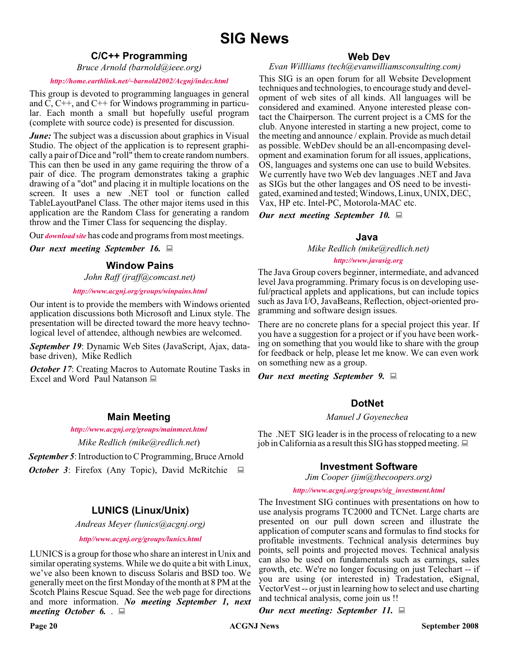#### **C/C++ Programming**

*Bruce Arnold (barnold@ieee.org)*

#### *<http://home.earthlink.net/~barnold2002/Acgnj/index.html>*

This group is devoted to programming languages in general and C, C++, and C++ for Windows programming in particular. Each month a small but hopefully useful program (complete with source code) is presented for discussion.

*June:* The subject was a discussion about graphics in Visual Studio. The object of the application is to represent graphically a pair of Dice and "roll" them to create random numbers. This can then be used in any game requiring the throw of a pair of dice. The program demonstrates taking a graphic drawing of a "dot" and placing it in multiple locations on the screen. It uses a new .NET tool or function called TableLayoutPanel Class. The other major items used in this application are the Random Class for generating a random throw and the Timer Class for sequencing the display.

Our *[download site](http://home.earthlink.net/~barnold2002/Acgnj/Download.htm)* has code and programs from most meetings.

*Our next meeting September 16.*

#### **Window Pains**

*John Raff (jraff@comcast.net)*

*<http://www.acgnj.org/groups/winpains.html>*

Our intent is to provide the members with Windows oriented application discussions both Microsoft and Linux style. The presentation will be directed toward the more heavy technological level of attendee, although newbies are welcomed.

*September 19*: Dynamic Web Sites (JavaScript, Ajax, database driven), Mike Redlich

**October 17:** Creating Macros to Automate Routine Tasks in Excel and Word Paul Natanson

#### **Main Meeting**

*<http://www.acgnj.org/groups/mainmeet.html>*

*Mike Redlich (mike@redlich.net*)

*September 5*: Introduction to C Programming, Bruce Arnold *October 3*: Firefox (Any Topic), David McRitchie  $\Box$ 

#### **LUNICS (Linux/Unix)**

*Andreas Meyer (lunics@acgnj.org)*

#### *<http//www.acgnj.org/groups/lunics.html>*

LUNICS is a group for those who share an interest in Unix and similar operating systems. While we do quite a bit with Linux, we've also been known to discuss Solaris and BSD too. We generally meet on the first Monday of the month at 8 PM at the Scotch Plains Rescue Squad. See the web page for directions and more information. *No meeting September 1, next meeting October 6.* .

#### **Web Dev**

#### *Evan Willliams (tech@evanwilliamsconsulting.com)*

This SIG is an open forum for all Website Development techniques and technologies, to encourage study and development of web sites of all kinds. All languages will be considered and examined. Anyone interested please contact the Chairperson. The current project is a CMS for the club. Anyone interested in starting a new project, come to the meeting and announce / explain. Provide as much detail as possible. WebDev should be an all-encompasing development and examination forum for all issues, applications, OS, languages and systems one can use to build Websites. We currently have two Web dev languages .NET and Java as SIGs but the other langages and OS need to be investigated, examined and tested; Windows, Linux, UNIX, DEC, Vax, HP etc. Intel-PC, Motorola-MAC etc.

*Our next meeting September 10.*

#### **Java**

*Mike Redlich (mike@redlich.net) <http://www.javasig.org>*

The Java Group covers beginner, intermediate, and advanced level Java programming. Primary focus is on developing useful/practical applets and applications, but can include topics such as Java I/O, JavaBeans, Reflection, object-oriented programming and software design issues.

There are no concrete plans for a special project this year. If you have a suggestion for a project or if you have been working on something that you would like to share with the group for feedback or help, please let me know. We can even work on something new as a group.

*Our next meeting September 9.*

#### **DotNet**

#### *Manuel J Goyenechea*

The .NET SIG leader is in the process of relocating to a new job in California as a result this SIG has stopped meeting.  $\Box$ 

#### **Investment Software**

*Jim Cooper (jim@thecoopers.org)*

#### *[http://www.acgnj.org/groups/sig\\_investment.html](http://www.acgnj.org/groups/sig_investment.html)*

The Investment SIG continues with presentations on how to use analysis programs TC2000 and TCNet. Large charts are presented on our pull down screen and illustrate the application of computer scans and formulas to find stocks for profitable investments. Technical analysis determines buy points, sell points and projected moves. Technical analysis can also be used on fundamentals such as earnings, sales growth, etc. We're no longer focusing on just Telechart -- if you are using (or interested in) Tradestation, eSignal, VectorVest -- or just in learning how to select and use charting and technical analysis, come join us !!

*Our next meeting: September 11.*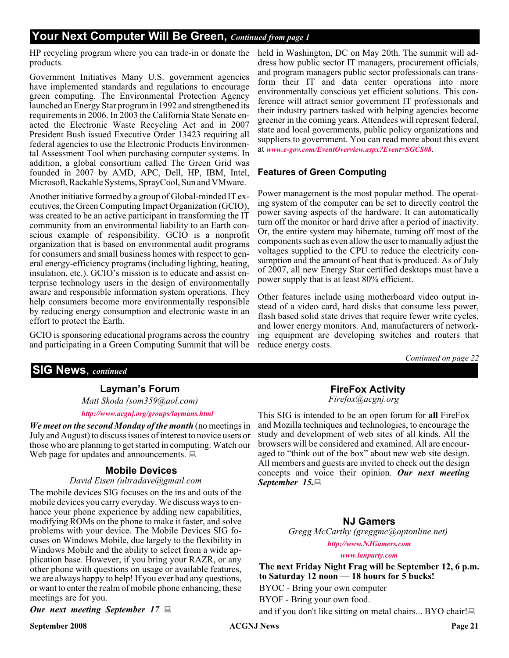#### **Your Next Computer Will Be Green,** *Continued from page 1*

HP recycling program where you can trade-in or donate the products.

Government Initiatives Many U.S. government agencies have implemented standards and regulations to encourage green computing. The Environmental Protection Agency launched an Energy Star program in 1992 and strengthened its requirements in 2006. In 2003 the California State Senate enacted the Electronic Waste Recycling Act and in 2007 President Bush issued Executive Order 13423 requiring all federal agencies to use the Electronic Products Environmental Assessment Tool when purchasing computer systems. In addition, a global consortium called The Green Grid was founded in 2007 by AMD, APC, Dell, HP, IBM, Intel, Microsoft, Rackable Systems, SprayCool, Sun and VMware.

Another initiative formed by a group of Global-minded IT executives, the Green Computing Impact Organization (GCIO), was created to be an active participant in transforming the IT community from an environmental liability to an Earth conscious example of responsibility. GCIO is a nonprofit organization that is based on environmental audit programs for consumers and small business homes with respect to general energy-efficiency programs (including lighting, heating, insulation, etc.). GCIO's mission is to educate and assist enterprise technology users in the design of environmentally aware and responsible information system operations. They help consumers become more environmentally responsible by reducing energy consumption and electronic waste in an effort to protect the Earth.

GCIO is sponsoring educational programs across the country and participating in a Green Computing Summit that will be

#### **SIG News**, *continued*

#### **Layman's Forum**

*Matt Skoda (som359@aol.com)*

#### *<http://www.acgnj.org/groups/laymans.html>*

*We meet on the second Monday of the month* (no meetings in July and August) to discuss issues of interest to novice users or those who are planning to get started in computing. Watch our Web page for updates and announcements.  $\Box$ 

#### **Mobile Devices**

#### *David Eisen (ultradave@gmail.com*

The mobile devices SIG focuses on the ins and outs of the mobile devices you carry everyday. We discuss ways to enhance your phone experience by adding new capabilities, modifying ROMs on the phone to make it faster, and solve problems with your device. The Mobile Devices SIG focuses on Windows Mobile, due largely to the flexibility in Windows Mobile and the ability to select from a wide application base. However, if you bring your RAZR, or any other phone with questions on usage or available features, we are always happy to help! If you ever had any questions, or want to enter the realm of mobile phone enhancing, these meetings are for you.

*Our next meeting September 17*

held in Washington, DC on May 20th. The summit will address how public sector IT managers, procurement officials, and program managers public sector professionals can transform their IT and data center operations into more environmentally conscious yet efficient solutions. This conference will attract senior government IT professionals and their industry partners tasked with helping agencies become greener in the coming years. Attendees will represent federal, state and local governments, public policy organizations and suppliers to government. You can read more about this event at *[www.e-gov.com/EventOverview.aspx?Event=SGCS08](http://www.e-gov.com/EventOverview.aspx?Event=SGCS08)*.

#### **Features of Green Computing**

Power management is the most popular method. The operating system of the computer can be set to directly control the power saving aspects of the hardware. It can automatically turn off the monitor or hard drive after a period of inactivity. Or, the entire system may hibernate, turning off most of the components such as even allow the user to manually adjust the voltages supplied to the CPU to reduce the electricity consumption and the amount of heat that is produced. As of July of 2007, all new Energy Star certified desktops must have a power supply that is at least 80% efficient.

Other features include using motherboard video output instead of a video card, hard disks that consume less power, flash based solid state drives that require fewer write cycles, and lower energy monitors. And, manufacturers of networking equipment are developing switches and routers that reduce energy costs.

*Continued on page 22*

#### **FireFox Activity** *Firefox@acgnj.org*

This SIG is intended to be an open forum for **all** FireFox and Mozilla techniques and technologies, to encourage the study and development of web sites of all kinds. All the browsers will be considered and examined. All are encouraged to "think out of the box" about new web site design. All members and guests are invited to check out the design concepts and voice their opinion. *Our next meeting September 15.*

#### **NJ Gamers**

*Gregg McCarthy (greggmc@optonline.net)*

*<http://www.NJGamers.com>*

*[www.lanparty.com](http://www.lanparty.com)*

**The next Friday Night Frag will be September 12, 6 p.m. to Saturday 12 noon — 18 hours for 5 bucks!** BYOC - Bring your own computer

BYOF - Bring your own food.

and if you don't like sitting on metal chairs... BYO chair!

**September 2008 ACGNJ News Page 21**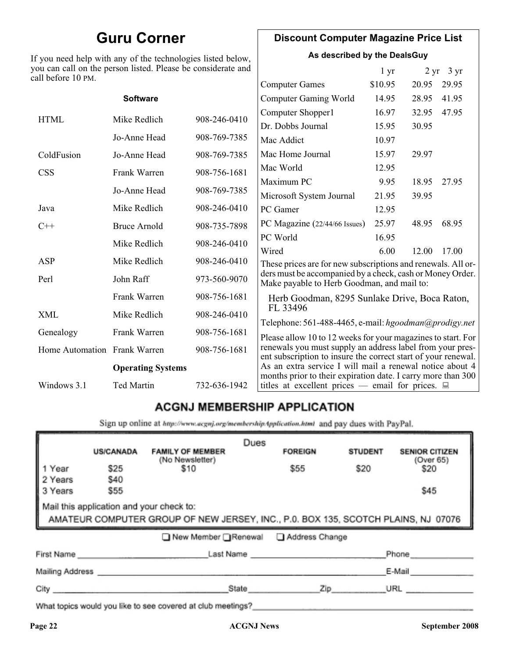### **Guru Corner**

If you need help with any of the technologies listed below, you can call on the person listed. Please be considerate and ca

#### **Discount Computer Magazine Price List**

**As described by the DealsGuy**

| ou can call on the person listed. Please be considerate and<br>ll before 10 PM. |                          |              |                                                                                                                                                                                            | 1 <sub>yr</sub> |       | $2 \text{ yr}$ 3 yr |
|---------------------------------------------------------------------------------|--------------------------|--------------|--------------------------------------------------------------------------------------------------------------------------------------------------------------------------------------------|-----------------|-------|---------------------|
|                                                                                 |                          |              | <b>Computer Games</b>                                                                                                                                                                      | \$10.95         | 20.95 | 29.95               |
|                                                                                 | <b>Software</b>          |              | <b>Computer Gaming World</b>                                                                                                                                                               | 14.95           | 28.95 | 41.95               |
| <b>HTML</b>                                                                     | Mike Redlich             | 908-246-0410 | Computer Shopper1                                                                                                                                                                          | 16.97           | 32.95 | 47.95               |
|                                                                                 |                          |              | Dr. Dobbs Journal                                                                                                                                                                          | 15.95           | 30.95 |                     |
|                                                                                 | Jo-Anne Head             | 908-769-7385 | Mac Addict                                                                                                                                                                                 | 10.97           |       |                     |
| ColdFusion                                                                      | Jo-Anne Head             | 908-769-7385 | Mac Home Journal                                                                                                                                                                           | 15.97           | 29.97 |                     |
| <b>CSS</b>                                                                      | Frank Warren             | 908-756-1681 | Mac World                                                                                                                                                                                  | 12.95           |       |                     |
|                                                                                 |                          |              | Maximum PC                                                                                                                                                                                 | 9.95            | 18.95 | 27.95               |
|                                                                                 | Jo-Anne Head             | 908-769-7385 | Microsoft System Journal                                                                                                                                                                   | 21.95           | 39.95 |                     |
| Java                                                                            | Mike Redlich             | 908-246-0410 | PC Gamer                                                                                                                                                                                   | 12.95           |       |                     |
| $C++$                                                                           | <b>Bruce Arnold</b>      | 908-735-7898 | PC Magazine (22/44/66 Issues)                                                                                                                                                              | 25.97           | 48.95 | 68.95               |
|                                                                                 | Mike Redlich             | 908-246-0410 | PC World                                                                                                                                                                                   | 16.95           |       |                     |
|                                                                                 |                          |              | Wired                                                                                                                                                                                      | 6.00            | 12.00 | 17.00               |
| ASP                                                                             | Mike Redlich             | 908-246-0410 | These prices are for new subscriptions and renewals. All or-                                                                                                                               |                 |       |                     |
| Perl                                                                            | John Raff                | 973-560-9070 | ders must be accompanied by a check, cash or Money Order.<br>Make payable to Herb Goodman, and mail to:                                                                                    |                 |       |                     |
|                                                                                 | Frank Warren             | 908-756-1681 | Herb Goodman, 8295 Sunlake Drive, Boca Raton,                                                                                                                                              |                 |       |                     |
| XML                                                                             | Mike Redlich             | 908-246-0410 | FL 33496                                                                                                                                                                                   |                 |       |                     |
| Genealogy                                                                       | Frank Warren             | 908-756-1681 | Telephone: 561-488-4465, e-mail: hgoodman@prodigy.net                                                                                                                                      |                 |       |                     |
| Home Automation Frank Warren                                                    |                          | 908-756-1681 | Please allow 10 to 12 weeks for your magazines to start. For<br>renewals you must supply an address label from your pres-<br>ent subscription to insure the correct start of your renewal. |                 |       |                     |
|                                                                                 | <b>Operating Systems</b> |              | As an extra service I will mail a renewal notice about 4<br>months prior to their expiration date. I carry more than 300                                                                   |                 |       |                     |
| Windows 3.1                                                                     | <b>Ted Martin</b>        | 732-636-1942 | titles at excellent prices — email for prices. $\Box$                                                                                                                                      |                 |       |                     |
|                                                                                 |                          |              |                                                                                                                                                                                            |                 |       |                     |

#### **ACGNJ MEMBERSHIP APPLICATION**

Sign up online at http://www.acgnj.org/membershipApplication.html and pay dues with PayPal.

|                                                                                                                               | <b>US/CANADA</b> | <b>FAMILY OF MEMBER</b>                                                                                                                                                                                                        | Dues  | <b>FOREIGN</b> | <b>STUDENT</b> | <b>SENIOR CITIZEN</b> |
|-------------------------------------------------------------------------------------------------------------------------------|------------------|--------------------------------------------------------------------------------------------------------------------------------------------------------------------------------------------------------------------------------|-------|----------------|----------------|-----------------------|
| 1 Year                                                                                                                        | \$25             | (No Newsletter)<br>\$10                                                                                                                                                                                                        |       | \$55           | \$20           | (Over 65)<br>\$20     |
| 2 Years<br>3 Years                                                                                                            | \$40<br>\$55     |                                                                                                                                                                                                                                |       |                |                | \$45                  |
| Mail this application and your check to:<br>AMATEUR COMPUTER GROUP OF NEW JERSEY, INC., P.0. BOX 135, SCOTCH PLAINS, NJ 07076 |                  |                                                                                                                                                                                                                                |       |                |                |                       |
|                                                                                                                               |                  | ■ New Member Renewal ■ Address Change                                                                                                                                                                                          |       |                |                |                       |
| First Name                                                                                                                    |                  |                                                                                                                                                                                                                                |       | Last Name      |                | Phone                 |
| Mailing Address _                                                                                                             |                  |                                                                                                                                                                                                                                |       |                |                | E-Mail                |
| City <b>Communication</b>                                                                                                     |                  |                                                                                                                                                                                                                                | State | Zip            |                | URL                   |
|                                                                                                                               |                  | 19 and 19 and 19 and 19 and 19 and 19 and 19 and 19 and 19 and 19 and 19 and 19 and 19 and 19 and 19 and 19 and 19 and 19 and 19 and 19 and 19 and 19 and 19 and 19 and 19 and 19 and 19 and 19 and 19 and 19 and 19 and 19 an |       |                |                |                       |

What topics would you like to see covered at club meetings?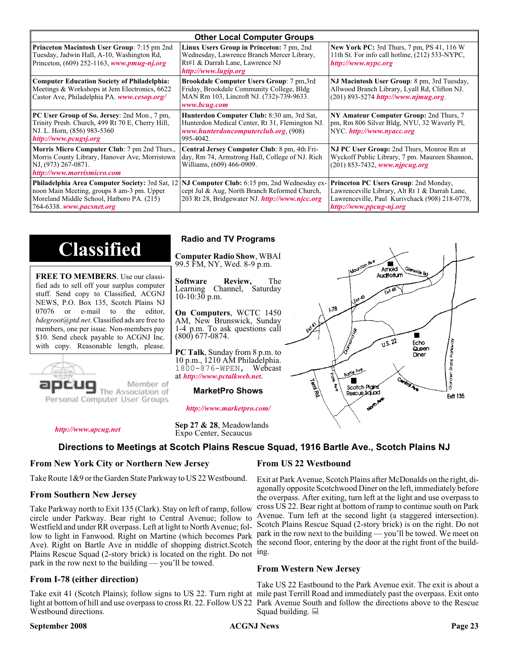| <b>Other Local Computer Groups</b>                                                                                                                         |                                                                                                                                                                                                        |                                                                                                                                                                             |  |  |  |
|------------------------------------------------------------------------------------------------------------------------------------------------------------|--------------------------------------------------------------------------------------------------------------------------------------------------------------------------------------------------------|-----------------------------------------------------------------------------------------------------------------------------------------------------------------------------|--|--|--|
| <b>Princeton Macintosh User Group:</b> 7:15 pm 2nd<br>Tuesday, Jadwin Hall, A-10, Washington Rd,<br>Princeton, $(609)$ 252-1163, www.pmug-nj.org           | Linux Users Group in Princeton: 7 pm, 2nd<br>Wednesday, Lawrence Branch Mercer Library,<br>Rt#1 & Darrah Lane, Lawrence NJ<br>http://www.lugip.org                                                     | <b>New York PC:</b> 3rd Thurs, 7 pm, PS 41, 116 W<br>11th St. For info call hotline, (212) 533-NYPC,<br>http://www.nypc.org                                                 |  |  |  |
| <b>Computer Education Society of Philadelphia:</b><br>Meetings & Workshops at Jem Electronics, 6622<br>Castor Ave, Philadelphia PA. www.cesop.org/         | <b>Brookdale Computer Users Group:</b> 7 pm, 3rd<br>Friday, Brookdale Community College, Bldg<br>MAN Rm 103, Lincroft NJ. (732)-739-9633.<br>www.bcug.com                                              | NJ Macintosh User Group: 8 pm, 3rd Tuesday,<br>Allwood Branch Library, Lyall Rd, Clifton NJ.<br>(201) 893-5274 http://www.njmug.org.                                        |  |  |  |
| PC User Group of So. Jersey: 2nd Mon., 7 pm,<br>Trinity Presb. Church, 499 Rt 70 E, Cherry Hill,<br>NJ. L. Horn, (856) 983-5360<br>http://www.pcugsj.org   | Hunterdon Computer Club: 8:30 am, 3rd Sat,<br>Hunterdon Medical Center, Rt 31, Flemington NJ.<br>www.hunterdoncomputerclub.org (908)<br>995-4042.                                                      | NY Amateur Computer Group: 2nd Thurs, 7<br>pm, Rm 806 Silver Bldg, NYU, 32 Waverly Pl,<br>NYC http://www.nyacc.org                                                          |  |  |  |
| <b>Morris Micro Computer Club:</b> 7 pm 2nd Thurs.,<br>Morris County Library, Hanover Ave, Morristown<br>NJ, (973) 267-0871.<br>http://www.morrismicro.com | Central Jersey Computer Club: 8 pm, 4th Fri-<br>day, Rm 74, Armstrong Hall, College of NJ. Rich<br>Williams, (609) 466-0909.                                                                           | NJ PC User Group: 2nd Thurs, Monroe Rm at<br>Wyckoff Public Library, 7 pm. Maureen Shannon,<br>$(201)$ 853-7432, www.njpcug.org                                             |  |  |  |
| noon Main Meeting, groups 8 am-3 pm. Upper<br>Moreland Middle School, Hatboro PA. (215)<br>764-6338. www.pacsnet.org                                       | <b>Philadelphia Area Computer Society: 3rd Sat, 12 NJ Computer Club: 6:15 pm, 2nd Wednesday ex-</b><br>cept Jul & Aug, North Branch Reformed Church,<br>203 Rt 28, Bridgewater NJ. http://www.njcc.org | <b>Princeton PC Users Group: 2nd Monday,</b><br>Lawrenceville Library, Alt Rt 1 & Darrah Lane,<br>Lawrenceville, Paul Kurivchack (908) 218-0778,<br>http://www.ppcug-nj.org |  |  |  |

### **Classified**

**FREE TO MEMBERS**. Use our classified ads to sell off your surplus computer stuff. Send copy to Classified, ACGNJ NEWS, P.O. Box 135, Scotch Plains NJ 07076 or e-mail to the editor, *bdegroot@ptd.net*. Classified ads are free to members, one per issue. Non-members pay \$10. Send check payable to ACGNJ Inc. with copy. Reasonable length, please.



### Member of

#### *<http://www.marketpro.com/>*

**MarketPro Shows**

*<http://www.apcug.net>*

**Sep 27 & 28**, Meadowlands Expo Center, Secaucus

#### **Directions to Meetings at Scotch Plains Rescue Squad, 1916 Bartle Ave., Scotch Plains NJ**

#### **From New York City or Northern New Jersey**

Take Route 1&9 or the Garden State Parkway to US 22 Westbound.

#### **From Southern New Jersey**

Take Parkway north to Exit 135 (Clark). Stay on left of ramp, follow circle under Parkway. Bear right to Central Avenue; follow to Westfield and under RR overpass. Left at light to North Avenue; follow to light in Fanwood. Right on Martine (which becomes Park Ave). Right on Bartle Ave in middle of shopping district.Scotch Plains Rescue Squad (2-story brick) is located on the right. Do not ing. park in the row next to the building — you'll be towed.

#### **From I-78 (either direction)**

Take exit 41 (Scotch Plains); follow signs to US 22. Turn right at mile past Terrill Road and immediately past the overpass. Exit onto light at bottom of hill and use overpass to cross Rt. 22. Follow US 22 Park Avenue South and follow the directions above to the Rescue Westbound directions.

#### **September 2008 ACGNJ News Page 23**

#### **From US 22 Westbound**

Exit at Park Avenue, Scotch Plains after McDonalds on the right, diagonally opposite Scotchwood Diner on the left, immediately before the overpass. After exiting, turn left at the light and use overpass to cross US 22. Bear right at bottom of ramp to continue south on Park Avenue. Turn left at the second light (a staggered intersection). Scotch Plains Rescue Squad (2-story brick) is on the right. Do not park in the row next to the building — you'll be towed. We meet on the second floor, entering by the door at the right front of the build-

#### **From Western New Jersey**

Take US 22 Eastbound to the Park Avenue exit. The exit is about a Squad building.  $\Box$ 

#### **Radio and TV Programs**

**Computer Radio Show**, WBAI 99.5 FM, NY, Wed. 8-9 p.m.

**Software Review,** The Learning Channel, Saturday 10-10:30 p.m.

**On Computers**, WCTC 1450 AM, New Brunswick, Sunday 1-4 p.m. To ask questions call (800) 677-0874.

**PC Talk**, Sunday from 8 p.m. to 10 p.m., 1210 AM Philadelphia. 1800-876-WPEN, Webcast at *<http://www.pctalkweb.net>*.



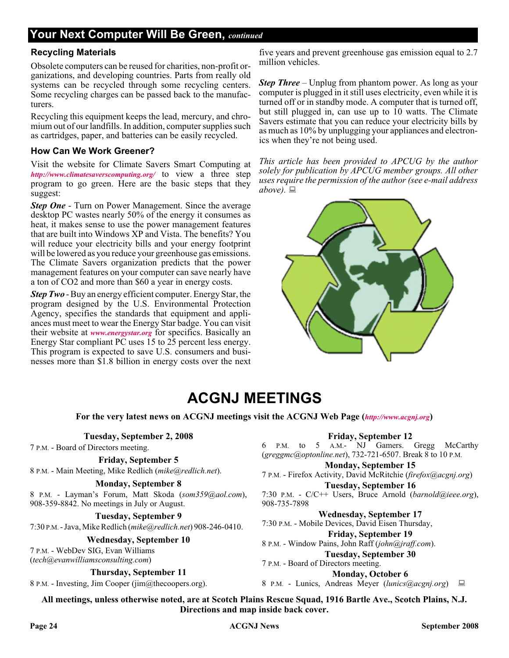### **Your Next Computer Will Be Green,** *continued*

#### **Recycling Materials**

Obsolete computers can be reused for charities, non-profit organizations, and developing countries. Parts from really old systems can be recycled through some recycling centers. Some recycling charges can be passed back to the manufacturers.

Recycling this equipment keeps the lead, mercury, and chromium out of our landfills. In addition, computer supplies such as cartridges, paper, and batteries can be easily recycled.

#### **How Can We Work Greener?**

Visit the website for Climate Savers Smart Computing at *<http://www.climatesaverscomputing.org/>* to view a three step program to go green. Here are the basic steps that they suggest:

*Step One* - Turn on Power Management. Since the average desktop PC wastes nearly 50% of the energy it consumes as heat, it makes sense to use the power management features that are built into Windows XP and Vista. The benefits? You will reduce your electricity bills and your energy footprint will be lowered as you reduce your greenhouse gas emissions. The Climate Savers organization predicts that the power management features on your computer can save nearly have a ton of CO2 and more than \$60 a year in energy costs.

*Step Two* - Buy an energy efficient computer. Energy Star, the program designed by the U.S. Environmental Protection Agency, specifies the standards that equipment and appliances must meet to wear the Energy Star badge. You can visit their website at *[www.energystar.org](http://www.energystar.org)* for specifics. Basically an Energy Star compliant PC uses 15 to 25 percent less energy. This program is expected to save U.S. consumers and businesses more than \$1.8 billion in energy costs over the next

five years and prevent greenhouse gas emission equal to 2.7 million vehicles.

*Step Three* – Unplug from phantom power. As long as your computer is plugged in it still uses electricity, even while it is turned off or in standby mode. A computer that is turned off, but still plugged in, can use up to 10 watts. The Climate Savers estimate that you can reduce your electricity bills by as much as 10% by unplugging your appliances and electronics when they're not being used.

*This article has been provided to APCUG by the author solely for publication by APCUG member groups. All other uses require the permission of the author (see e-mail address above).*



### **ACGNJ MEETINGS**

**For the very latest news on ACGNJ meetings visit the ACGNJ Web Page (***<http://www.acgnj.org>***)**

#### **Tuesday, September 2, 2008**

7 P.M. - Board of Directors meeting.

#### **Friday, September 5**

8 P.M. - Main Meeting, Mike Redlich (*mike@redlich.net*).

#### **Monday, September 8**

8 P.M. - Layman's Forum, Matt Skoda (*som359@aol.com*), 908-359-8842. No meetings in July or August.

**Tuesday, September 9**

7:30 P.M.- Java, Mike Redlich (*mike@redlich.net*) 908-246-0410.

#### **Wednesday, September 10**

7 P.M. - WebDev SIG, Evan Williams (*tech@evanwilliamsconsulting.com*)

**Thursday, September 11**

8 P.M. - Investing, Jim Cooper (jim@thecoopers.org).

#### **Friday, September 12**

6 P.M. to 5 A.M.- NJ Gamers. Gregg McCarthy (*greggmc@optonline.net*), 732-721-6507. Break 8 to 10 P.M.

**Monday, September 15**

7 P.M. - Firefox Activity, David McRitchie (*firefox@acgnj.org*)

**Tuesday, September 16** 7:30 P.M. - C/C++ Users, Bruce Arnold (*barnold@ieee.org*), 908-735-7898

**Wednesday, September 17** 7:30 P.M. - Mobile Devices, David Eisen Thursday,

#### **Friday, September 19**

8 P.M. - Window Pains, John Raff (*john@jraff.com*). **Tuesday, September 30**

#### 7 P.M. - Board of Directors meeting.

**Monday, October 6** 8 P.M. - Lunics, Andreas Meyer (*lunics@acgnj.org*)

**All meetings, unless otherwise noted, are at Scotch Plains Rescue Squad, 1916 Bartle Ave., Scotch Plains, N.J. Directions and map inside back cover.**